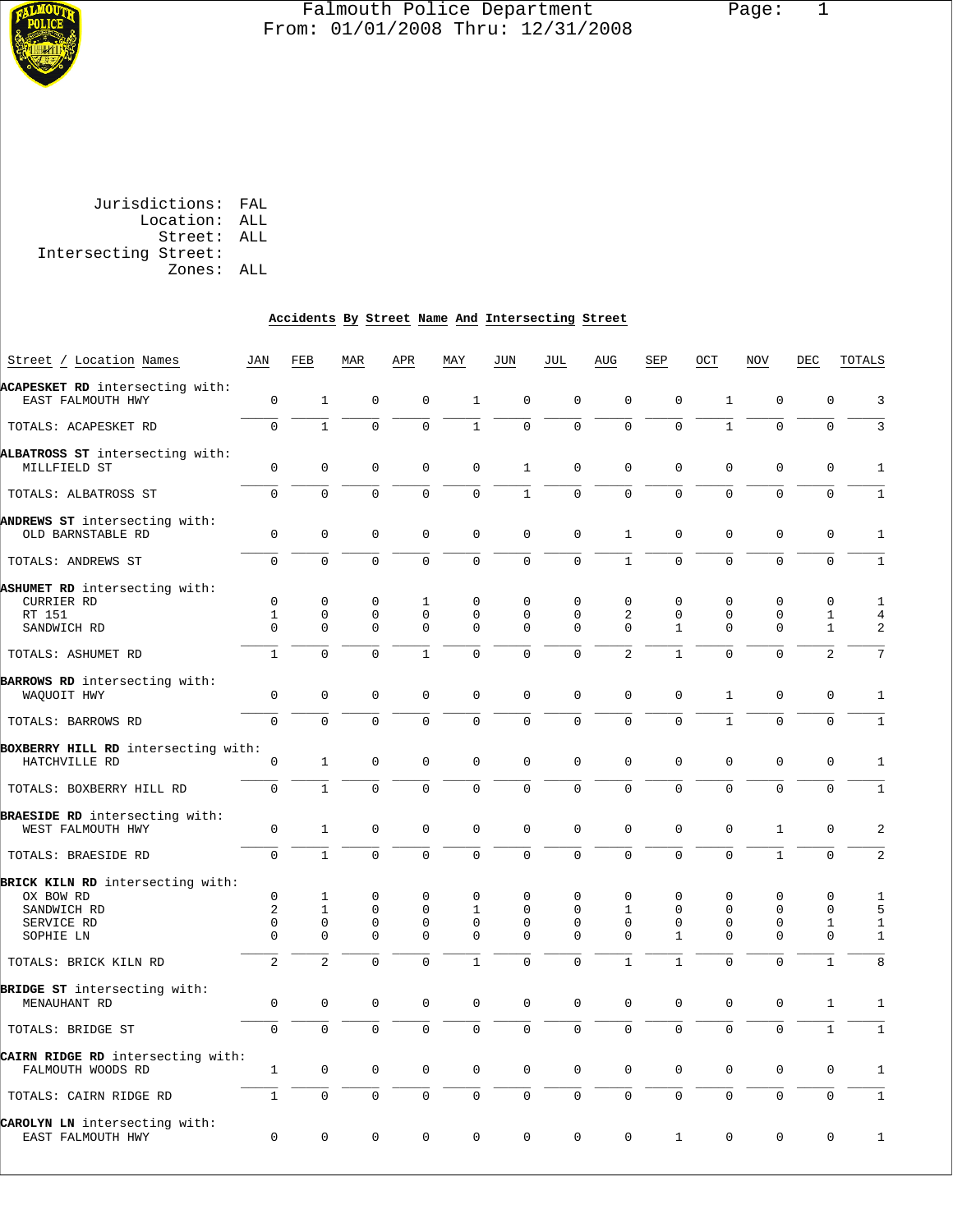

# Falmouth Police Department Page: 1 From: 01/01/2008 Thru: 12/31/2008

 Jurisdictions: FAL Location: ALL Street: ALL Intersecting Street: Zones: ALL

#### **Accidents By Street Name And Intersecting Street**

| Street / Location Names                                | JAN                        | FEB                        | MAR                     | APR                     | MAY                        | JUN                        | JUL                     | AUG            | SEP                         | OCT                 | NOV                     | DEC                          | <b>TOTALS</b>         |
|--------------------------------------------------------|----------------------------|----------------------------|-------------------------|-------------------------|----------------------------|----------------------------|-------------------------|----------------|-----------------------------|---------------------|-------------------------|------------------------------|-----------------------|
| ACAPESKET RD intersecting with:<br>EAST FALMOUTH HWY   | $\mathsf 0$                | $\mathbf{1}$               | $\mathbf 0$             | $\mathbf 0$             | $\mathbf{1}$               | $\mathbf 0$                | $\mathbf 0$             | $\mathbf{0}$   | $\mathbf 0$                 | $\mathbf{1}$        | $\mathbf 0$             | $\mathbf 0$                  | 3                     |
| TOTALS: ACAPESKET RD                                   | $\mathbf 0$                | $\mathbf{1}$               | $\mathbf 0$             | $\Omega$                | $\mathbf{1}$               | $\mathbf 0$                | $\mathbf 0$             | $\Omega$       | $\Omega$                    | $\mathbf{1}$        | $\Omega$                | $\mathbf 0$                  | $\overline{3}$        |
| ALBATROSS ST intersecting with:<br>MILLFIELD ST        | $\mathbf 0$                | $\mathbf 0$                | $\mathbf 0$             | $\mathbf{0}$            | $\mathbf 0$                | $\mathbf{1}$               | $\mathbf 0$             | $\mathbf{0}$   | $\mathbf 0$                 | $\mathbf{0}$        | $\mathbf 0$             | $\mathbf 0$                  | $1\,$                 |
| TOTALS: ALBATROSS ST                                   | $\overline{0}$             | $\mathbf 0$                | $\mathbf 0$             | $\Omega$                | $\mathbf 0$                | $\mathbf{1}$               | $\overline{0}$          | 0              | 0                           | $\Omega$            | $\overline{0}$          | $\mathbf 0$                  | $1\,$                 |
| ANDREWS ST intersecting with:<br>OLD BARNSTABLE RD     | 0                          | $\mathsf{O}\xspace$        | $\mathbf 0$             | 0                       | 0                          | $\mathsf 0$                | $\mathsf 0$             | $\mathbf{1}$   | 0                           | $\mathsf 0$         | $\mathbf 0$             | 0                            | 1                     |
| TOTALS: ANDREWS ST                                     | $\mathbf 0$                | $\mathbf 0$                | $\overline{0}$          | $\mathbf 0$             | $\mathsf{O}\xspace$        | $\mathsf 0$                | $\mathsf{O}\xspace$     | $\mathbf{1}$   | $\overline{0}$              | $\mathbf 0$         | $\mathbf{0}$            | $\mathbf 0$                  | $\,1$                 |
| ASHUMET RD intersecting with:<br>CURRIER RD            | $\mathbf 0$                | $\mathbf 0$                | $\mathbf 0$             | $\mathbf{1}$            | $\mathbf 0$                | $\mathbf 0$                | $\mathbf 0$             | $\mathbf 0$    | $\mathbf 0$                 | $\mathbf 0$         | $\mathbf 0$             | $\mathbf 0$                  | $1\,$                 |
| RT 151<br>SANDWICH RD                                  | $\mathbf{1}$<br>$\Omega$   | $\mathbf 0$<br>$\mathbf 0$ | $\mathbf 0$<br>$\Omega$ | $\mathbf 0$<br>$\Omega$ | $\mathbf 0$<br>$\mathbf 0$ | $\mathbf 0$<br>$\mathbf 0$ | $\mathbf 0$<br>$\Omega$ | 2<br>$\Omega$  | $\mathbf 0$<br>$\mathbf{1}$ | $\mathbf 0$<br>0    | $\mathbf 0$<br>$\Omega$ | $\mathbf{1}$<br>$\mathbf{1}$ | $\overline{4}$<br>2   |
| TOTALS: ASHUMET RD                                     | $\mathbf{1}$               | $\Omega$                   | $\Omega$                | $\mathbf{1}$            | $\Omega$                   | $\Omega$                   | $\Omega$                | $\overline{a}$ | $\mathbf{1}$                | $\Omega$            | $\Omega$                | $\overline{c}$               | $\overline{7}$        |
| BARROWS RD intersecting with:                          |                            |                            |                         |                         |                            |                            |                         |                |                             |                     |                         |                              |                       |
| WAQUOIT HWY                                            | $\overline{0}$             | $\mathbf 0$                | $\mathbf 0$             | $\mathbf 0$             | $\mathbf 0$                | $\mathbf 0$                | $\overline{0}$          | $\Omega$       | $\mathbf{0}$                | $\mathbf{1}$        | $\mathbf 0$             | $\mathbf 0$                  | $\mathbf{1}$          |
| TOTALS: BARROWS RD                                     | $\Omega$                   | $\Omega$                   | $\Omega$                | $\Omega$                | $\mathbf 0$                | $\Omega$                   | $\Omega$                | $\Omega$       | $\Omega$                    | $\mathbf{1}$        | $\Omega$                | $\Omega$                     | $\mathbf{1}$          |
| BOXBERRY HILL RD intersecting with:                    |                            |                            |                         |                         |                            |                            |                         |                |                             |                     |                         |                              |                       |
| HATCHVILLE RD                                          | $\mathsf 0$                | $\mathbf{1}$               | 0                       | $\mathbf 0$             | $\mathsf 0$                | $\mathbf 0$                | $\mathbf 0$             | $\mathbf{0}$   | $\mathbf 0$                 | $\mathbf 0$         | $\mathbf 0$             | $\mathbf 0$                  | $1\,$                 |
| TOTALS: BOXBERRY HILL RD                               | $\mathbf 0$                | $\mathbf{1}$               | $\mathbf 0$             | $\mathbf 0$             | $\mathbf 0$                | $\mathbf 0$                | $\mathbf 0$             | $\Omega$       | $\Omega$                    | $\Omega$            | $\mathbf 0$             | $\mathbf 0$                  | $\mathbf{1}$          |
| BRAESIDE RD intersecting with:<br>WEST FALMOUTH HWY    | $\mathsf 0$                | $\mathbf{1}$               | $\Omega$                | $\Omega$                | $\mathsf 0$                | $\mathsf 0$                | $\Omega$                | $\Omega$       | $\Omega$                    | $\Omega$            | $\mathbf{1}$            | $\Omega$                     | $\overline{c}$        |
| TOTALS: BRAESIDE RD                                    | $\overline{0}$             | $\mathbf{1}$               | $\mathbf 0$             | $\mathbf 0$             | $\overline{0}$             | $\mathbf 0$                | $\mathbf 0$             | $\Omega$       | $\Omega$                    | $\Omega$            | $\mathbf{1}$            | $\mathbf 0$                  | $\overline{a}$        |
| BRICK KILN RD intersecting with:                       | $\mathbf 0$                |                            | $\mathbf 0$             | $\mathbf{0}$            |                            | $\Omega$                   | $\mathbf 0$             |                |                             |                     |                         |                              |                       |
| OX BOW RD                                              |                            | 1                          |                         |                         | 0                          |                            |                         | 0              | 0                           | $\mathbf 0$         | $\mathbf 0$             | $\mathbf 0$                  | $\mathbf{1}$          |
| SANDWICH RD                                            | $\overline{a}$             | $\mathbf{1}$               | $\mathbf 0$             | $\mathbf 0$             | $\mathbf{1}$               | $\mathbf 0$                | $\mathbf 0$             | $\mathbf{1}$   | $\mathbf 0$                 | $\mathbf 0$         | $\mathbf 0$             | $\mathbf 0$                  | 5                     |
| SERVICE RD<br>SOPHIE LN                                | $\mathbf 0$<br>$\mathbf 0$ | $\Omega$<br>0              | $\mathbf 0$<br>$\Omega$ | $\Omega$<br>$\mathsf 0$ | $\Omega$<br>$\mathsf 0$    | $\Omega$<br>$\mathsf 0$    | $\Omega$<br>$\Omega$    | $\Omega$<br>0  | $\Omega$<br>$\mathbf{1}$    | $\Omega$<br>0       | $\Omega$<br>$\Omega$    | $\mathbf{1}$<br>$\mathsf 0$  | $\mathbf{1}$<br>$1\,$ |
| TOTALS: BRICK KILN RD                                  | $\overline{a}$             | $\overline{2}$             | $\mathbf 0$             | $\mathbf 0$             | $\mathbf{1}$               | $\Omega$                   | $\mathbf 0$             | $\mathbf{1}$   | 1                           | $\Omega$            | $\mathbf 0$             | $\mathbf{1}$                 | 8                     |
| BRIDGE ST intersecting with:<br>MENAUHANT RD           | $\mathbf 0$                | $\mathbf 0$                | $\mathbf 0$             | $\mathbf{0}$            | $\mathbf 0$                | $\mathbf 0$                | $\mathbf 0$             | $\Omega$       | $\mathbf 0$                 | $\Omega$            | $\mathbf 0$             | $\mathbf{1}$                 | $\mathbf{1}$          |
| TOTALS: BRIDGE ST                                      | $\Omega$                   | $\Omega$                   | $\Omega$                | $\Omega$                | $\Omega$                   | $\Omega$                   | $\Omega$                | $\Omega$       | $\Omega$                    | $\Omega$            | $\Omega$                | $\mathbf{1}$                 | $1\,$                 |
| CAIRN RIDGE RD intersecting with:<br>FALMOUTH WOODS RD | 1                          | $\mathbf 0$                | $\mathbf 0$             | $\mathbf 0$             | $\mathbf 0$                | $\mathbf 0$                | $\mathbf 0$             | $\mathbf 0$    | $\mathbf 0$                 | $\mathbf 0$         | $\mathbf 0$             | $\mathbf 0$                  | 1                     |
| TOTALS: CAIRN RIDGE RD                                 | $\mathbf{1}$               | $\mathbf 0$                | $\mathbf 0$             | 0                       | $\overline{0}$             | $\mathbf 0$                | $\mathbf 0$             | $\mathbf 0$    | $\overline{0}$              | $\mathbf 0$         | $\mathbf 0$             | $\mathbf 0$                  | $\mathbf{1}$          |
| CAROLYN LN intersecting with:<br>EAST FALMOUTH HWY     | $\mathsf 0$                | $\mathbf 0$                | $\Omega$                | $\mathbf 0$             | $\mathbf 0$                | $\mathsf{O}\xspace$        | $\mathbf 0$             | $\mathsf 0$    | $\mathbf{1}$                | $\mathsf{O}\xspace$ | $\Omega$                | $\mathsf 0$                  | $\,1$                 |
|                                                        |                            |                            |                         |                         |                            |                            |                         |                |                             |                     |                         |                              |                       |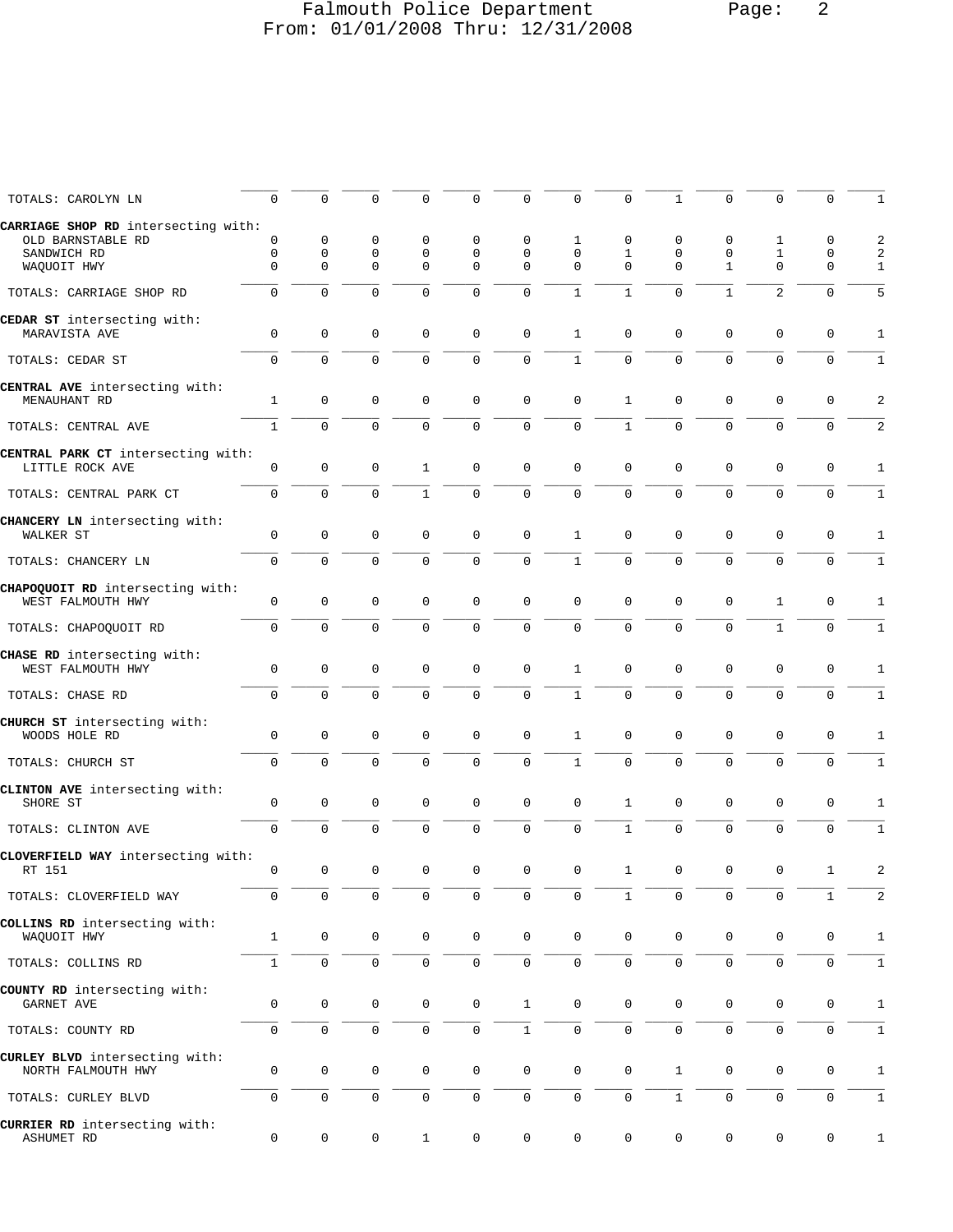# Falmouth Police Department Page: 2 From: 01/01/2008 Thru: 12/31/2008

| TOTALS: CAROLYN LN                                    | 0            | $\mathbf 0$                | 0                | $\Omega$                    | 0                | 0                   | 0                       | $\Omega$       | 1                       | 0                 | $\mathbf 0$                  | $\Omega$         | 1              |
|-------------------------------------------------------|--------------|----------------------------|------------------|-----------------------------|------------------|---------------------|-------------------------|----------------|-------------------------|-------------------|------------------------------|------------------|----------------|
| CARRIAGE SHOP RD intersecting with:                   |              |                            |                  |                             |                  |                     |                         |                |                         |                   |                              |                  |                |
| OLD BARNSTABLE RD                                     | 0            | 0                          | 0                | 0                           | 0                | 0                   | 1                       | 0              | 0                       | 0                 | 1                            | 0                | 2              |
| SANDWICH RD<br>WAQUOIT HWY                            | 0<br>0       | $\mathbf 0$<br>$\mathbf 0$ | 0<br>$\mathbf 0$ | $\mathbf 0$<br>$\mathbf{0}$ | $\mathsf 0$<br>0 | 0<br>0              | $\mathsf 0$<br>$\Omega$ | 1<br>$\Omega$  | $\mathbf 0$<br>$\Omega$ | 0<br>$\mathbf{1}$ | $\mathbf{1}$<br>$\mathbf{0}$ | 0<br>$\mathbf 0$ | 2<br>1         |
|                                                       |              |                            |                  |                             |                  |                     |                         |                |                         |                   |                              |                  |                |
| TOTALS: CARRIAGE SHOP RD                              | $\mathsf 0$  | $\mathbf 0$                | $\mathbf 0$      | $\mathbf{0}$                | 0                | $\mathsf 0$         | $\mathbf{1}$            | $\mathbf{1}$   | $\mathbf 0$             | $\mathbf{1}$      | $\overline{2}$               | $\mathbf 0$      | 5              |
| CEDAR ST intersecting with:                           |              |                            |                  |                             |                  |                     |                         |                |                         |                   |                              |                  |                |
| MARAVISTA AVE                                         | $\mathsf 0$  | $\mathsf 0$                | $\mathsf 0$      | $\mathbf 0$                 | $\mathsf 0$      | $\mathsf 0$         | $1\,$                   | 0              | 0                       | 0                 | $\mathbf 0$                  | $\mathbf 0$      | 1              |
| TOTALS: CEDAR ST                                      | $\mathsf{O}$ | $\Omega$                   | $\Omega$         | $\Omega$                    | 0                | $\mathbf 0$         | $\mathbf{1}$            | $\overline{0}$ | $\mathbf 0$             | $\Omega$          | $\mathbf 0$                  | $\Omega$         | $\mathbf{1}$   |
| CENTRAL AVE intersecting with:                        |              |                            |                  |                             |                  |                     |                         |                |                         |                   |                              |                  |                |
| MENAUHANT RD                                          | $\mathbf{1}$ | $\mathbf 0$                | $\mathbf 0$      | $\mathbf{0}$                | $\mathbf 0$      | $\mathbf 0$         | $\mathbf 0$             | $\mathbf{1}$   | 0                       | 0                 | $\mathbf 0$                  | $\mathbf 0$      | 2              |
|                                                       |              | $\mathbf 0$                | $\mathbf 0$      | $\overline{0}$              | 0                | $\mathbf 0$         | $\mathbf 0$             | $\mathbf 1$    | $\mathbf 0$             | $\mathbf 0$       | $\mathbf 0$                  | $\mathbf 0$      |                |
| TOTALS: CENTRAL AVE                                   | $\mathbf{1}$ |                            |                  |                             |                  |                     |                         |                |                         |                   |                              |                  | 2              |
| CENTRAL PARK CT intersecting with:<br>LITTLE ROCK AVE | 0            | $\mathbf 0$                | $\mathbf 0$      | 1                           | $\mathbf 0$      | $\mathbf 0$         | $\mathsf 0$             | $\mathbf{0}$   | $\mathbf 0$             | $\mathbf 0$       | $\mathbf 0$                  | $\mathbf 0$      | 1              |
|                                                       |              |                            |                  |                             |                  |                     |                         |                |                         |                   |                              |                  |                |
| TOTALS: CENTRAL PARK CT                               | $\mathsf{O}$ | $\mathbf 0$                | $\mathbf 0$      | $\mathbf{1}$                | 0                | $\mathbf 0$         | $\mathbf 0$             | $\mathbf 0$    | $\mathbf 0$             | $\mathbf 0$       | $\mathbf 0$                  | $\mathbf 0$      | $\mathbf{1}$   |
| CHANCERY LN intersecting with:                        |              |                            |                  |                             |                  |                     |                         |                |                         |                   |                              |                  |                |
| WALKER ST                                             | 0            | $\mathsf 0$                | 0                | $\mathbf 0$                 | 0                | 0                   | $\mathbf{1}$            | 0              | 0                       | 0                 | 0                            | 0                | 1              |
| TOTALS: CHANCERY LN                                   | $\mathbf 0$  | $\mathbf 0$                | $\mathbf 0$      | $\mathbf 0$                 | 0                | $\mathbf 0$         | $\mathbf{1}$            | 0              | $\Omega$                | $\mathbf{0}$      | $\mathbf{0}$                 | $\mathbf 0$      | 1              |
| CHAPOQUOIT RD intersecting with:                      |              |                            |                  |                             |                  |                     |                         |                |                         |                   |                              |                  |                |
| WEST FALMOUTH HWY                                     | $\mathbf 0$  | $\mathbf 0$                | $\mathbf 0$      | $\mathbf{0}$                | 0                | 0                   | $\mathbf 0$             | $\mathbf{0}$   | $\mathbf 0$             | 0                 | 1                            | $\mathbf 0$      | 1              |
|                                                       |              | $\mathbf 0$                | $\mathbf 0$      | $\mathbf{0}$                |                  | $\mathsf 0$         | $\mathsf 0$             | $\mathbf 0$    | $\mathbf 0$             | $\mathbf 0$       | $\mathbf{1}$                 | $\mathbf 0$      |                |
| TOTALS: CHAPOQUOIT RD                                 | 0            |                            |                  |                             | 0                |                     |                         |                |                         |                   |                              |                  | $\mathbf 1$    |
| CHASE RD intersecting with:                           |              |                            |                  |                             |                  |                     |                         |                |                         |                   |                              |                  |                |
| WEST FALMOUTH HWY                                     | 0            | $\mathsf 0$                | 0                | $\mathbf 0$                 | $\mathsf 0$      | $\mathsf 0$         | $\mathbf{1}$            | 0              | 0                       | 0                 | $\mathsf 0$                  | $\mathbf 0$      | 1              |
| TOTALS: CHASE RD                                      | $\Omega$     | $\mathbf 0$                | $\Omega$         | $\Omega$                    | $\Omega$         | $\Omega$            | $\mathbf{1}$            | $\Omega$       | $\Omega$                | $\Omega$          | $\Omega$                     | $\Omega$         | $\mathbf{1}$   |
| CHURCH ST intersecting with:                          |              |                            |                  |                             |                  |                     |                         |                |                         |                   |                              |                  |                |
| WOODS HOLE RD                                         | 0            | $\mathbf 0$                | $\mathbf 0$      | $\mathbf 0$                 | 0                | $\mathsf 0$         | $\mathbf{1}$            | 0              | 0                       | 0                 | 0                            | 0                | 1              |
| TOTALS: CHURCH ST                                     | $\mathbf 0$  | $\mathbf 0$                | $\mathbf 0$      | $\mathbf 0$                 | 0                | $\mathbf 0$         | $1\,$                   | 0              | $\mathbf 0$             | $\mathbf 0$       | $\mathbf{0}$                 | $\mathbf 0$      | $1\,$          |
|                                                       |              |                            |                  |                             |                  |                     |                         |                |                         |                   |                              |                  |                |
| CLINTON AVE intersecting with:<br>SHORE ST            | $\mathbf 0$  | $\mathbf 0$                | $\mathbf 0$      | $\mathbf{0}$                | 0                | $\mathsf 0$         | $\mathsf 0$             | $\mathbf{1}$   | $\mathbf 0$             | $\mathbf 0$       | $\mathbf 0$                  | $\mathbf 0$      | 1              |
|                                                       |              |                            |                  |                             |                  |                     |                         |                |                         |                   |                              |                  |                |
| TOTALS: CLINTON AVE                                   | 0            | $\mathsf 0$                | $\mathbf 0$      | $\mathbf{0}$                | 0                | 0                   | $\mathsf 0$             | $\mathbf{1}$   | $\mathbf 0$             | 0                 | $\mathbf 0$                  | $\mathbf 0$      | $\mathbf{1}$   |
| CLOVERFIELD WAY intersecting with:                    |              |                            |                  |                             |                  |                     |                         |                |                         |                   |                              |                  |                |
| RT 151                                                | 0            | $\mathbf 0$                | $\mathbf 0$      | $\mathbf 0$                 | $\mathsf 0$      | $\mathbf 0$         | $\mathsf 0$             | $\mathbf{1}$   | $\mathbf 0$             | 0                 | $\mathsf 0$                  | 1                | $\overline{c}$ |
| TOTALS: CLOVERFIELD WAY                               | 0            | $\mathbf 0$                | 0                | $\mathbf 0$                 | 0                | 0                   | $\mathsf{O}\xspace$     | $\mathbf{1}$   | 0                       | 0                 | $\mathbf 0$                  | $\mathbf{1}$     | $\overline{c}$ |
| COLLINS RD intersecting with:                         |              |                            |                  |                             |                  |                     |                         |                |                         |                   |                              |                  |                |
| WAQUOIT HWY                                           | $\mathbf{1}$ | $\mathbf 0$                | 0                | $\mathbf 0$                 | $\mathbf 0$      | 0                   | $\mathbf 0$             | $\mathbf 0$    | $\mathbf 0$             | 0                 | 0                            | 0                | 1              |
| TOTALS: COLLINS RD                                    | $\mathbf{1}$ | $\mathbf 0$                | $\mathsf 0$      | $\mathbf 0$                 | $\mathsf 0$      | 0                   | $\mathbf 0$             | $\mathbf 0$    | $\mathbf 0$             | 0                 | $\mathbf 0$                  | $\mathbf 0$      | $\mathbf{1}$   |
|                                                       |              |                            |                  |                             |                  |                     |                         |                |                         |                   |                              |                  |                |
| COUNTY RD intersecting with:<br>GARNET AVE            | $\mathsf 0$  | $\mathbf 0$                | 0                | $\mathbf 0$                 | $\mathsf 0$      | $\mathbf{1}$        | $\mathsf 0$             | $\mathsf 0$    | 0                       | 0                 | $\mathsf 0$                  | $\mathbf 0$      | 1              |
|                                                       |              |                            |                  |                             |                  |                     |                         |                |                         |                   |                              |                  |                |
| TOTALS: COUNTY RD                                     | 0            | $\mathsf{O}\xspace$        | $\mathsf 0$      | $\mathsf{O}\xspace$         | $\mathsf 0$      | $\overline{1}$      | $\mathsf 0$             | $\mathbf 0$    | $\mathsf 0$             | 0                 | $\mathsf 0$                  | $\mathbf 0$      | $\mathbf{1}$   |
| CURLEY BLVD intersecting with:                        |              |                            |                  |                             |                  |                     |                         |                |                         |                   |                              |                  |                |
| NORTH FALMOUTH HWY                                    | 0            | $\mathbf 0$                | $\mathsf 0$      | $\mathsf{O}$                | $\mathbf 0$      | $\mathsf{O}\xspace$ | $\mathsf 0$             | $\mathbf 0$    | $\mathbf 1$             | 0                 | 0                            | 0                | 1              |
| TOTALS: CURLEY BLVD                                   | 0            | $\mathsf{O}\xspace$        | $\mathsf 0$      | 0                           | 0                | 0                   | $\mathsf 0$             | 0              | $\mathbf{1}$            | 0                 | $\mathsf{O}\xspace$          | $\mathbf 0$      | $\mathbf{1}$   |
|                                                       |              |                            |                  |                             |                  |                     |                         |                |                         |                   |                              |                  |                |
| CURRIER RD intersecting with:<br>ASHUMET RD           | 0            | $\mathsf{O}\xspace$        | $\mathsf 0$      | $\mathbf{1}$                | $\mathsf 0$      | $\mathsf{O}\xspace$ | $\mathsf 0$             | 0              | 0                       | 0                 | $\mathsf 0$                  | $\mathbf 0$      | 1              |
|                                                       |              |                            |                  |                             |                  |                     |                         |                |                         |                   |                              |                  |                |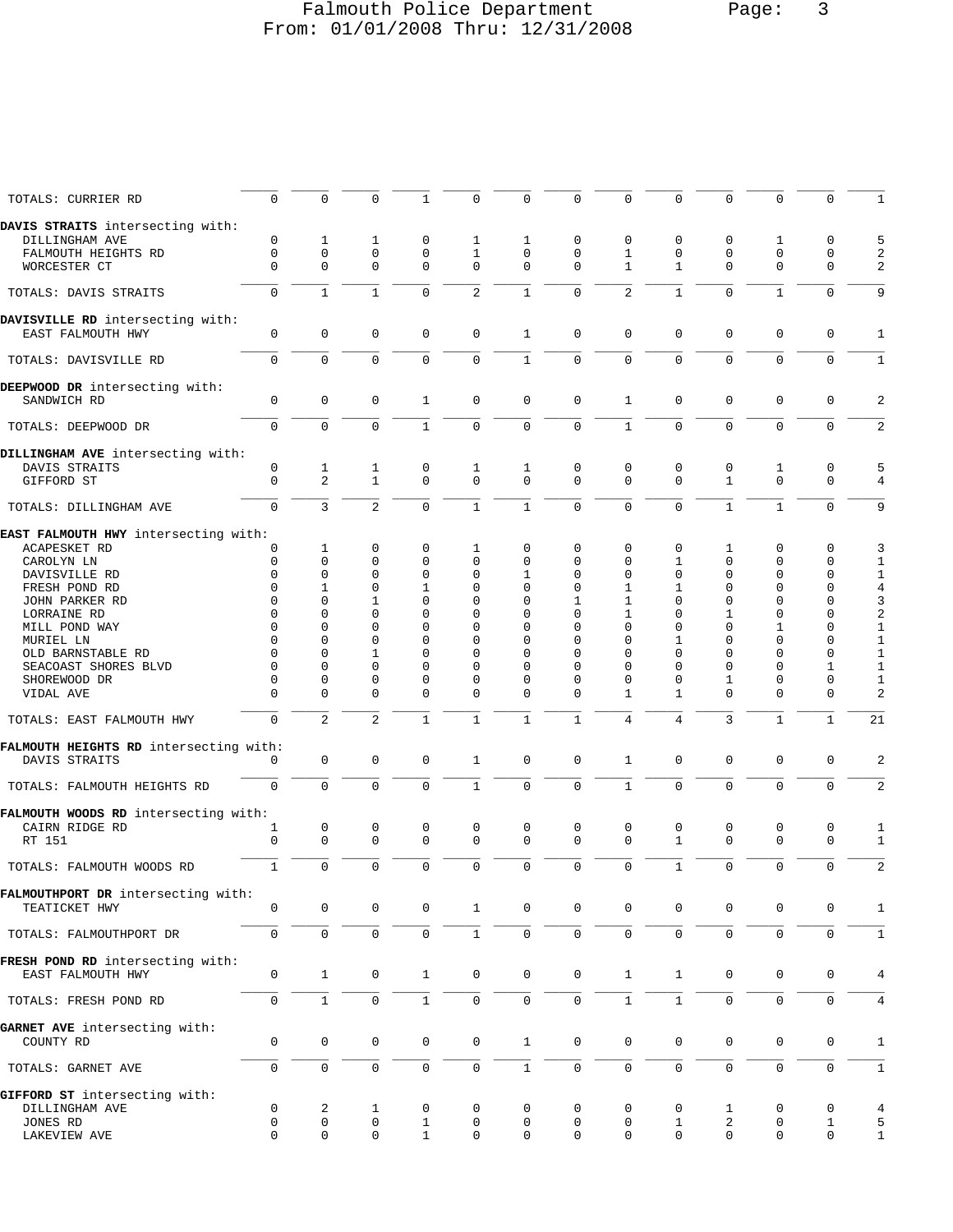# Falmouth Police Department Page: 3 From: 01/01/2008 Thru: 12/31/2008

| TOTALS: CURRIER RD                     | $\mathbf{0}$        | $\mathbf 0$    | $\mathbf 0$    | $\mathbf{1}$ | 0              | $\mathbf 0$         | $\mathbf 0$         | $\mathbf{0}$   | $\mathbf 0$    | $\mathbf{0}$   | 0            | $\mathbf 0$  | 1                       |
|----------------------------------------|---------------------|----------------|----------------|--------------|----------------|---------------------|---------------------|----------------|----------------|----------------|--------------|--------------|-------------------------|
| DAVIS STRAITS intersecting with:       |                     |                |                |              |                |                     |                     |                |                |                |              |              |                         |
| DILLINGHAM AVE                         | 0                   | 1              | 1              | 0            | 1              | 1                   | 0                   | 0              | 0              | 0              | 1            | $\mathbf 0$  | 5                       |
| FALMOUTH HEIGHTS RD                    | $\mathbf 0$         | $\mathbf 0$    | 0              | $\mathbf 0$  | $\mathbf{1}$   | 0                   | $\mathbf 0$         | $\mathbf{1}$   | $\mathbf 0$    | 0              | 0            | $\mathbf 0$  | 2                       |
| WORCESTER CT                           | $\Omega$            | $\Omega$       | $\Omega$       | $\Omega$     | 0              | 0                   | $\mathbf 0$         | 1              | 1              | $\Omega$       | $\Omega$     | 0            | 2                       |
| TOTALS: DAVIS STRAITS                  | 0                   | $\mathbf{1}$   | $\mathbf{1}$   | 0            | $\overline{a}$ | $\mathbf{1}$        | $\mathbf{0}$        | 2              | $\mathbf{1}$   | $\Omega$       | $\mathbf{1}$ | $\mathbf 0$  | 9                       |
| DAVISVILLE RD intersecting with:       |                     |                |                |              |                |                     |                     |                |                |                |              |              |                         |
| EAST FALMOUTH HWY                      | $\mathbf 0$         | $\mathsf 0$    | 0              | 0            | 0              | $\mathbf{1}$        | $\mathsf 0$         | $\mathbf{0}$   | 0              | $\mathbf 0$    | $\mathbf 0$  | $\mathbf 0$  | 1                       |
| TOTALS: DAVISVILLE RD                  | $\mathbf 0$         | $\mathbf 0$    | $\mathbf 0$    | 0            | 0              | $\mathbf{1}$        | $\mathbf 0$         | $\Omega$       | $\Omega$       | $\mathbf 0$    | 0            | $\mathbf 0$  | 1                       |
| DEEPWOOD DR intersecting with:         |                     |                |                |              |                |                     |                     |                |                |                |              |              |                         |
| SANDWICH RD                            | 0                   | $\mathsf 0$    | $\mathbf 0$    | 1            | 0              | $\mathsf 0$         | $\mathsf 0$         | $\mathbf{1}$   | 0              | $\mathbf 0$    | $\mathbf 0$  | $\mathbf 0$  | 2                       |
| TOTALS: DEEPWOOD DR                    | 0                   | $\mathbf 0$    | 0              | $\mathbf{1}$ | $\mathbf 0$    | $\mathsf{O}\xspace$ | $\mathsf 0$         | $\mathbf{1}$   | $\mathbf 0$    | $\mathbf 0$    | $\mathbf 0$  | $\Omega$     | $\overline{\mathbf{c}}$ |
| DILLINGHAM AVE intersecting with:      |                     |                |                |              |                |                     |                     |                |                |                |              |              |                         |
| DAVIS STRAITS                          | 0                   | $\mathbf{1}$   | $\mathbf{1}$   | 0            | $\mathbf{1}$   | $\mathbf{1}$        | $\mathsf 0$         | $\mathsf 0$    | $\mathsf 0$    | $\mathbf 0$    | $\mathbf 1$  | $\mathbf 0$  | 5                       |
| GIFFORD ST                             | $\mathbf 0$         | $\mathbf{2}$   | $\mathbf{1}$   | $\Omega$     | 0              | 0                   | $\mathbf 0$         | $\Omega$       | $\Omega$       | 1              | $\mathbf 0$  | $\mathbf 0$  | $\overline{4}$          |
| TOTALS: DILLINGHAM AVE                 | $\Omega$            | $\overline{3}$ | $\overline{2}$ | $\Omega$     | $\mathbf{1}$   | $\mathbf{1}$        | $\mathbf 0$         | $\Omega$       | $\Omega$       | $\mathbf{1}$   | $\mathbf{1}$ | $\Omega$     | 9                       |
| EAST FALMOUTH HWY intersecting with:   |                     |                |                |              |                |                     |                     |                |                |                |              |              |                         |
| ACAPESKET RD                           | 0                   | 1              | 0              | 0            | 1              | 0                   | 0                   | 0              | 0              | 1              | 0            | 0            | 3                       |
| CAROLYN LN                             | 0                   | $\mathbf{0}$   | 0              | 0            | $\mathbf 0$    | 0                   | 0                   | 0              | $\mathbf{1}$   | 0              | 0            | 0            | $1\,$                   |
| DAVISVILLE RD                          | 0                   | 0              | 0              | 0            | 0              | 1                   | 0                   | 0              | 0              | 0              | 0            | 0            | $1\,$                   |
| FRESH POND RD                          | 0                   | 1              | 0              | 1            | 0              | 0                   | 0                   | 1              | 1              | $\Omega$       | 0            | 0            | 4                       |
|                                        | $\Omega$            |                | 1              | 0            | 0              |                     | 1                   | 1              | $\Omega$       |                | 0            | 0            |                         |
| JOHN PARKER RD                         |                     | 0              |                |              |                | 0                   |                     |                |                | 0              |              |              | 3                       |
| LORRAINE RD                            | $\Omega$            | 0              | 0              | 0            | 0              | 0                   | 0                   | 1              | $\Omega$       | 1              | 0            | 0            | 2                       |
| MILL POND WAY                          | 0                   | 0              | 0              | 0            | $\Omega$       | 0                   | 0                   | $\Omega$       | $\Omega$       | U              | 1            | 0            | 1                       |
| MURIEL LN                              | $\Omega$            | 0              | 0              | 0            | 0              | 0                   | $\Omega$            | $\Omega$       | 1              | 0              | 0            | 0            | $1\,$                   |
| OLD BARNSTABLE RD                      | $\Omega$            | 0              | 1              | 0            | 0              | 0                   | 0                   | 0              | 0              | 0              | 0            | 0            | $1\,$                   |
| SEACOAST SHORES BLVD                   | 0                   | 0              | 0              | 0            | 0              | 0                   | 0                   | $\Omega$       | $\Omega$       | $\Omega$       | 0            | 1            | 1                       |
| SHOREWOOD DR                           | 0                   | 0              | 0              | 0            | 0              | 0                   | $\mathbf 0$         | $\Omega$       | $\Omega$       | 1              | 0            | 0            | $\mathbf 1$             |
| VIDAL AVE                              | $\Omega$            | 0              | 0              | $\Omega$     | 0              | 0                   | 0                   | $\mathbf{1}$   | $\mathbf{1}$   | $\Omega$       | $\Omega$     | $\Omega$     | 2                       |
| TOTALS: EAST FALMOUTH HWY              | $\mathbf 0$         | $\overline{2}$ | $\overline{a}$ | $\mathbf{1}$ | $\mathbf{1}$   | $\mathbf{1}$        | $\mathbf{1}$        | $\overline{4}$ | $\overline{4}$ | $\overline{3}$ | $\mathbf{1}$ | $\mathbf{1}$ | 21                      |
| FALMOUTH HEIGHTS RD intersecting with: |                     |                |                |              |                |                     |                     |                |                |                |              |              |                         |
| DAVIS STRAITS                          | 0                   | $\mathsf 0$    | 0              | 0            | 1              | 0                   | $\mathbf 0$         | $\mathbf{1}$   | 0              | $\mathbf 0$    | $\mathbf 0$  | $\mathbf 0$  | 2                       |
|                                        |                     |                |                |              |                |                     |                     |                |                |                |              |              |                         |
| TOTALS: FALMOUTH HEIGHTS RD            | $\mathbf 0$         | $\Omega$       | $\mathbf 0$    | $\mathbf 0$  | $\mathbf{1}$   | $\mathbf 0$         | $\mathbf 0$         | $\mathbf{1}$   | $\mathbf 0$    | $\mathbf 0$    | $\mathbf 0$  | $\mathbf 0$  | 2                       |
| FALMOUTH WOODS RD intersecting with:   |                     |                |                |              |                |                     |                     |                |                |                |              |              |                         |
| CAIRN RIDGE RD                         | 1                   | 0              | 0              | 0            | 0              | 0                   | 0                   | 0              | 0              | 0              | 0            | 0            | 1                       |
| RT 151                                 | $\mathbf 0$         | $\mathbf 0$    | $\mathbf 0$    | $\mathbf 0$  | 0              | 0                   | $\mathbf 0$         | 0              | $\mathbf{1}$   | $\mathbf 0$    | 0            | $\mathbf 0$  | $\mathbf{1}$            |
|                                        |                     |                |                |              |                |                     |                     |                |                |                |              |              |                         |
| TOTALS: FALMOUTH WOODS RD              | $\mathbf{1}$        | $\mathsf 0$    | $\mathbf 0$    | $\mathbf 0$  | 0              | $\mathbf 0$         | $\mathsf 0$         | 0              | $\mathbf{1}$   | $\mathbf 0$    | $\mathbf 0$  | $\mathbf 0$  | $\sqrt{2}$              |
| FALMOUTHPORT DR intersecting with:     |                     |                |                |              |                |                     |                     |                |                |                |              |              |                         |
| TEATICKET HWY                          | 0                   | $\mathbf 0$    | $\mathsf{O}$   | $\mathsf{O}$ | $\mathbf{1}$   | $\mathbf 0$         | $\mathbf{0}$        | $\mathbf 0$    | $\mathbf 0$    | $\mathbf 0$    | 0            | 0            | 1                       |
| TOTALS: FALMOUTHPORT DR                | $\mathsf{O}\xspace$ | $\mathbf 0$    | $\mathbf 0$    | 0            | $\mathbf{1}$   | $\mathsf{O}$        | $\mathsf 0$         | $\mathbf 0$    | $\mathbf 0$    | $\mathbf 0$    | $\mathbf 0$  | $\mathbf 0$  | $\mathbf{1}$            |
| FRESH POND RD intersecting with:       |                     |                |                |              |                |                     |                     |                |                |                |              |              |                         |
| EAST FALMOUTH HWY                      | 0                   | $\mathbf{1}$   | $\mathbf 0$    | $\mathbf{1}$ | 0              | 0                   | $\mathbf 0$         | $\mathbf{1}$   | $\mathbf{1}$   | 0              | 0            | 0            | 4                       |
| TOTALS: FRESH POND RD                  | $\mathbf 0$         | $\mathbf{1}$   | 0              | $\mathbf{1}$ | 0              | 0                   | $\mathsf{O}\xspace$ | $\mathbf{1}$   | $\mathbf{1}$   | $\mathbf 0$    | $\mathbf 0$  | $\mathbf 0$  | 4                       |
| GARNET AVE intersecting with:          |                     |                |                |              |                |                     |                     |                |                |                |              |              |                         |
| COUNTY RD                              | $\mathbf 0$         | $\mathbf 0$    | $\mathbf 0$    | 0            | 0              | $\mathbf{1}$        | $\mathbf 0$         | $\mathbf 0$    | $\mathbf 0$    | $\mathbf 0$    | $\mathbf 0$  | $\mathbf 0$  | 1                       |
| TOTALS: GARNET AVE                     | 0                   | $\mathbf 0$    | $\mathbf 0$    | $\mathsf{O}$ | 0              | $\mathbf{1}$        | $\mathsf 0$         | $\mathbf 0$    | $\mathbf 0$    | $\mathbf 0$    | $\mathbf 0$  | $\mathbf 0$  | $\mathbf{1}$            |
| GIFFORD ST intersecting with:          |                     |                |                |              |                |                     |                     |                |                |                |              |              |                         |
| DILLINGHAM AVE                         | 0                   | 2              | 1              | 0            | 0              | 0                   | 0                   | 0              | 0              | 1              | 0            | 0            | 4                       |
| JONES RD                               | $\mathbf 0$         | 0              | 0              | $\mathbf{1}$ | 0              | 0                   | 0                   | 0              | 1              | 2              | 0            | $\mathbf{1}$ | 5                       |
| LAKEVIEW AVE                           | $\Omega$            | $\mathbf 0$    | $\mathbf 0$    | $\mathbf{1}$ | 0              | 0                   | $\mathbf 0$         | $\Omega$       | $\Omega$       | 0              | $\mathbf 0$  | $\mathbf 0$  | $\mathbf{1}$            |
|                                        |                     |                |                |              |                |                     |                     |                |                |                |              |              |                         |
|                                        |                     |                |                |              |                |                     |                     |                |                |                |              |              |                         |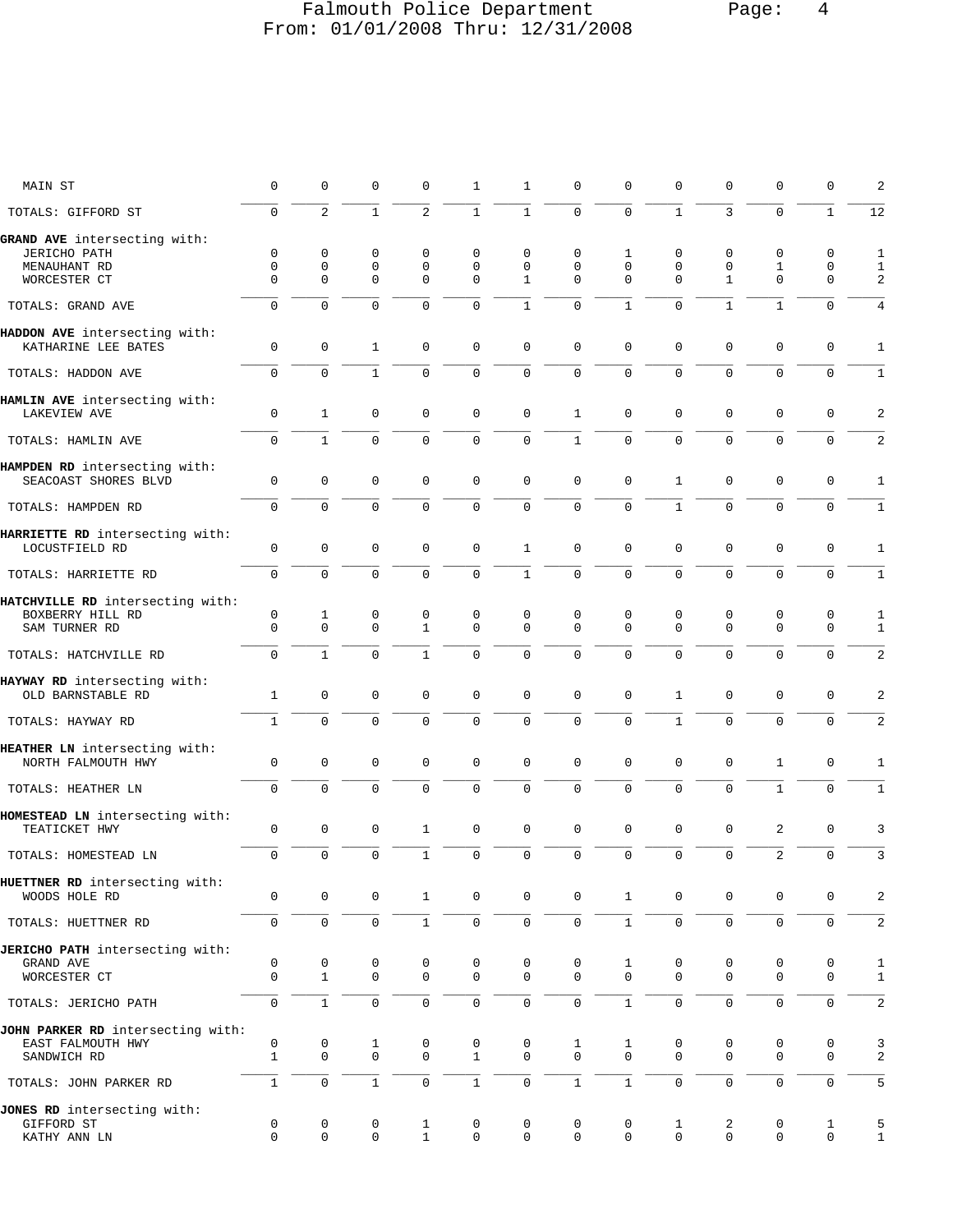# Falmouth Police Department Page: 4 From: 01/01/2008 Thru: 12/31/2008

| MAIN ST                                             | $\mathbf 0$         | $\mathbf 0$       | $\mathbf 0$         | 0                | $\mathbf{1}$        | $\mathbf{1}$     | $\mathbf 0$         | 0                        | $\mathbf 0$         | $\mathbf 0$         | $\mathbf 0$         | 0                | $\overline{a}$               |
|-----------------------------------------------------|---------------------|-------------------|---------------------|------------------|---------------------|------------------|---------------------|--------------------------|---------------------|---------------------|---------------------|------------------|------------------------------|
| TOTALS: GIFFORD ST                                  | $\Omega$            | $\overline{a}$    | $\mathbf 1$         | $\overline{2}$   | $\mathbf{1}$        | $\mathbf{1}$     | $\mathbf 0$         | 0                        | $\mathbf{1}$        | 3                   | $\Omega$            | $\mathbf{1}$     | 12                           |
| GRAND AVE intersecting with:                        |                     |                   |                     |                  |                     |                  |                     |                          |                     |                     |                     |                  |                              |
| <b>JERICHO PATH</b>                                 | $\mathbf 0$         | $\mathbf 0$       | 0                   | 0                | $\mathbf 0$         | 0                | $\mathbf 0$         | 1                        | 0                   | 0                   | 0                   | 0                | $\mathbf{1}$                 |
| MENAUHANT RD                                        | $\Omega$            | 0                 | $\mathbf 0$         | $\mathbf 0$      | $\Omega$            | $\Omega$         | $\Omega$            | $\Omega$                 | $\mathbf 0$         | $\mathbf 0$         | 1                   | 0                | 1                            |
| WORCESTER CT                                        | $\mathbf{0}$        | $\mathbf 0$       | $\Omega$            | $\mathbf 0$      | $\Omega$            | $\mathbf{1}$     | $\Omega$            | $\Omega$                 | $\Omega$            | $\mathbf{1}$        | $\mathbf 0$         | $\mathbf 0$      | 2                            |
| TOTALS: GRAND AVE                                   | $\Omega$            | $\Omega$          | $\Omega$            | $\Omega$         | $\Omega$            | $\mathbf{1}$     | $\Omega$            | $\mathbf{1}$             | $\Omega$            | $\mathbf{1}$        | $\mathbf{1}$        | $\mathbf 0$      | 4                            |
| HADDON AVE intersecting with:                       |                     |                   |                     |                  |                     |                  |                     |                          |                     |                     |                     |                  |                              |
| KATHARINE LEE BATES                                 | $\mathbf 0$         | $\mathbf 0$       | 1                   | 0                | $\mathbf 0$         | $\mathbf 0$      | $\mathbf 0$         | $\mathbf 0$              | $\mathbf 0$         | $\mathbf 0$         | $\mathbf 0$         | 0                | 1                            |
| TOTALS: HADDON AVE                                  | $\mathbf 0$         | $\mathbf 0$       | $\mathbf{1}$        | $\mathbf 0$      | $\mathbf 0$         | $\mathbf 0$      | $\mathbf 0$         | $\Omega$                 | $\Omega$            | $\Omega$            | $\mathbf 0$         | $\mathbf 0$      | $\mathbf{1}$                 |
| HAMLIN AVE intersecting with:                       |                     |                   |                     |                  |                     |                  |                     |                          |                     |                     |                     |                  |                              |
| LAKEVIEW AVE                                        | $\mathbf 0$         | $\mathbf{1}$      | $\mathbf 0$         | 0                | 0                   | $\mathbf 0$      | 1                   | $\mathbf 0$              | $\Omega$            | $\mathbf 0$         | $\mathbf 0$         | 0                | 2                            |
| TOTALS: HAMLIN AVE                                  | $\mathbf 0$         | $\mathbf{1}$      | $\mathbf 0$         | $\mathbf 0$      | $\mathbf{0}$        | 0                | $\mathbf{1}$        | 0                        | $\mathbf 0$         | $\mathbf{0}$        | $\mathbf 0$         | $\mathbf 0$      | 2                            |
| HAMPDEN RD intersecting with:                       |                     |                   |                     |                  |                     |                  |                     |                          |                     |                     |                     |                  |                              |
| SEACOAST SHORES BLVD                                | $\mathbf 0$         | $\mathbf 0$       | $\mathbf 0$         | 0                | $\mathbf 0$         | $\mathbf 0$      | $\mathbf 0$         | $\mathbf 0$              | $\mathbf{1}$        | $\mathbf{0}$        | $\mathbf 0$         | $\mathsf 0$      | 1                            |
| TOTALS: HAMPDEN RD                                  | $\Omega$            | $\Omega$          | $\Omega$            | $\Omega$         | $\Omega$            | $\mathbf 0$      | $\Omega$            | $\Omega$                 | $\mathbf{1}$        | $\Omega$            | $\Omega$            | $\mathbf 0$      | $\mathbf{1}$                 |
| HARRIETTE RD intersecting with:                     |                     |                   |                     |                  |                     |                  |                     |                          |                     |                     |                     |                  |                              |
| LOCUSTFIELD RD                                      | $\mathbf 0$         | $\mathbf 0$       | $\mathbf 0$         | 0                | $\mathbf 0$         | $\mathbf{1}$     | $\mathbf 0$         | $\mathbf 0$              | $\mathbf 0$         | $\mathbf 0$         | $\mathbf 0$         | 0                | 1                            |
| TOTALS: HARRIETTE RD                                | $\mathbf 0$         | $\Omega$          | $\mathbf 0$         | $\Omega$         | $\mathbf 0$         | $\mathbf{1}$     | $\mathbf 0$         | $\Omega$                 | $\mathbf 0$         | $\Omega$            | $\Omega$            | $\mathbf 0$      | $\mathbf{1}$                 |
| HATCHVILLE RD intersecting with:                    |                     |                   |                     |                  |                     |                  |                     |                          |                     |                     |                     |                  |                              |
| BOXBERRY HILL RD                                    | 0                   | $\mathbf{1}$      | 0                   | 0                | 0                   | 0                | 0                   | 0                        | 0                   | 0                   | 0                   | 0                | 1                            |
| SAM TURNER RD                                       | $\Omega$            | $\mathbf 0$       | $\mathbf 0$         | $\mathbf{1}$     | $\Omega$            | $\Omega$         | $\Omega$            | $\Omega$                 | $\Omega$            | $\mathbf{0}$        | $\mathbf 0$         | $\mathbf 0$      | $\mathbf{1}$                 |
| TOTALS: HATCHVILLE RD                               | $\mathbf 0$         | $\mathbf{1}$      | $\Omega$            | $\mathbf{1}$     | $\Omega$            | $\mathbf 0$      | $\mathbf 0$         | $\Omega$                 | $\Omega$            | $\Omega$            | $\Omega$            | 0                | 2                            |
| HAYWAY RD intersecting with:                        |                     |                   |                     |                  |                     |                  |                     |                          |                     |                     |                     |                  |                              |
| OLD BARNSTABLE RD                                   | $\mathbf{1}$        | $\mathbf 0$       | $\mathbf 0$         | 0                | $\mathbf 0$         | $\mathbf 0$      | $\mathbf 0$         | $\mathbf 0$              | $\mathbf{1}$        | $\mathbf 0$         | $\mathbf 0$         | 0                | 2                            |
| TOTALS: HAYWAY RD                                   | $\mathbf{1}$        | $\mathbf 0$       | $\mathbf 0$         | $\Omega$         | $\mathbf 0$         | $\mathbf 0$      | $\mathbf 0$         | $\mathbf 0$              | $\mathbf{1}$        | $\mathbf 0$         | $\mathbf 0$         | $\mathbf 0$      | 2                            |
|                                                     |                     |                   |                     |                  |                     |                  |                     |                          |                     |                     |                     |                  |                              |
| HEATHER LN intersecting with:<br>NORTH FALMOUTH HWY | 0                   | $\mathbf 0$       | $\mathbf 0$         | 0                | $\mathbf 0$         | 0                | $\mathbf 0$         | $\mathbf 0$              | $\mathbf 0$         | $\mathbf 0$         | 1                   | 0                | 1                            |
|                                                     | $\mathbf 0$         | $\Omega$          | $\Omega$            | $\Omega$         | $\Omega$            | $\Omega$         | $\Omega$            | $\Omega$                 | $\mathbf 0$         | $\mathbf 0$         | $\mathbf{1}$        | $\mathbf 0$      |                              |
| TOTALS: HEATHER LN                                  |                     |                   |                     |                  |                     |                  |                     |                          |                     |                     |                     |                  | $\mathbf{1}$                 |
| HOMESTEAD LN intersecting with:<br>TEATICKET HWY    | $\mathbb O$         | $\mathbf 0$       | 0                   | 1                | $\mathbf 0$         | $\mathsf 0$      | $\mathbf 0$         | 0                        | $\mathbf 0$         | $\mathbf 0$         | 2                   | 0                | 3                            |
| TOTALS: HOMESTEAD LN                                | $\mathbf 0$         | $\mathbf{0}$      | $\mathbf 0$         | $\mathbf 1$      | $\mathbf 0$         | $\mathbf 0$      | $\mathbf 0$         | 0                        | $\mathbf 0$         | $\mathbf 0$         | $\mathbf{2}$        | $\mathbf 0$      | 3                            |
|                                                     |                     |                   |                     |                  |                     |                  |                     |                          |                     |                     |                     |                  |                              |
| HUETTNER RD intersecting with:                      | $\mathsf 0$         | $\mathbf 0$       | $\mathbf 0$         |                  |                     | 0                | $\mathsf 0$         |                          | $\mathbf 0$         | $\mathbf 0$         |                     |                  | $\sqrt{2}$                   |
| WOODS HOLE RD                                       |                     |                   |                     | $\mathbf{1}$     | 0                   |                  |                     | $\mathbf{1}$             |                     |                     | 0                   | 0                |                              |
| TOTALS: HUETTNER RD                                 | $\mathsf{O}\xspace$ | $\mathsf 0$       | $\mathsf{O}\xspace$ | $1\,$            | $\mathsf 0$         | 0                | $\mathsf{O}\xspace$ | $\mathbf{1}$             | $\mathsf{O}\xspace$ | $\mathsf{O}\xspace$ | $\mathsf{O}\xspace$ | $\mathsf 0$      | 2                            |
| JERICHO PATH intersecting with:                     |                     |                   |                     |                  |                     |                  |                     |                          |                     |                     |                     |                  |                              |
| GRAND AVE<br>WORCESTER CT                           | 0<br>$\mathbf 0$    | 0<br>$\mathbf{1}$ | 0<br>$\mathbf 0$    | 0<br>$\mathbf 0$ | 0<br>$\mathbf 0$    | 0<br>$\Omega$    | 0<br>$\Omega$       | $\mathbf{1}$<br>$\Omega$ | 0<br>$\mathbf 0$    | 0<br>$\mathbf{0}$   | 0<br>$\mathbf 0$    | 0<br>0           | $\mathbf{1}$<br>$\mathbf{1}$ |
|                                                     |                     |                   |                     |                  |                     |                  |                     |                          |                     |                     |                     |                  |                              |
| TOTALS: JERICHO PATH                                | $\mathbf 0$         | $\mathbf{1}$      | $\mathbf 0$         | $\mathbf 0$      | $\mathbf 0$         | $\mathbf 0$      | $\mathbf 0$         | $\mathbf{1}$             | $\mathbf 0$         | $\mathbf 0$         | $\mathbf 0$         | $\mathbf 0$      | 2                            |
| JOHN PARKER RD intersecting with:                   |                     |                   |                     |                  |                     |                  |                     |                          |                     |                     |                     |                  |                              |
| EAST FALMOUTH HWY                                   | 0<br>$\mathbf{1}$   | 0<br>$\mathbf 0$  | 1<br>$\mathbf 0$    | 0<br>0           | 0<br>$\mathbf{1}$   | 0<br>$\mathbf 0$ | 1<br>$\mathbf{0}$   | 1<br>$\Omega$            | 0<br>$\mathbf 0$    | 0<br>$\mathbf 0$    | 0<br>$\mathbf 0$    | 0<br>$\mathbf 0$ | 3<br>2                       |
| SANDWICH RD                                         |                     |                   |                     |                  |                     |                  |                     |                          |                     |                     |                     |                  |                              |
| TOTALS: JOHN PARKER RD                              | $\mathbf{1}$        | $\mathbf 0$       | $\mathbf{1}$        | $\mathbf 0$      | $\mathbf{1}$        | $\mathsf 0$      | $\mathbf{1}$        | $\mathbf{1}$             | $\mathbf 0$         | $\mathbf 0$         | $\mathbf 0$         | $\mathbf 0$      | 5                            |
| JONES RD intersecting with:                         |                     |                   |                     |                  |                     |                  |                     |                          |                     |                     |                     |                  |                              |
| GIFFORD ST                                          | 0                   | 0                 | 0                   | 1                | 0                   | 0                | 0                   | 0                        | 1                   | 2                   | 0                   | 1                | 5                            |
| KATHY ANN LN                                        | $\mathbf 0$         | $\mathbf 0$       | $\mathsf{O}\xspace$ | $\mathbf{1}$     | $\mathsf{O}\xspace$ | 0                | $\mathbf 0$         | 0                        | $\mathbf 0$         | $\mathbf 0$         | $\mathsf{O}\xspace$ | 0                | $\mathbf{1}$                 |
|                                                     |                     |                   |                     |                  |                     |                  |                     |                          |                     |                     |                     |                  |                              |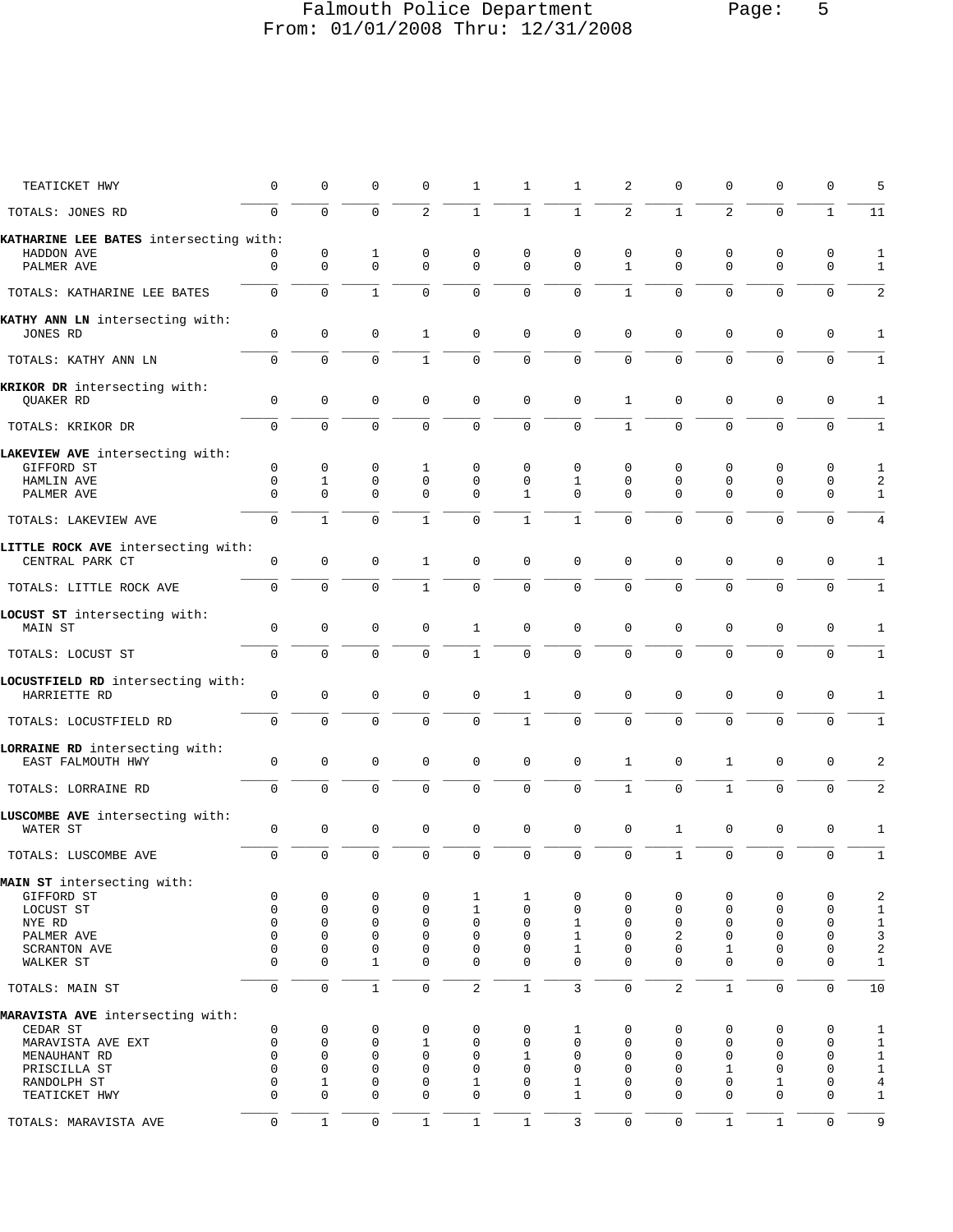# Falmouth Police Department Page: 5 From: 01/01/2008 Thru: 12/31/2008

| TEATICKET HWY                                         | $\mathbf 0$  | $\mathbf 0$         | $\mathbf 0$  | $\Omega$            | 1              | 1            | $\mathbf{1}$ | 2                 | 0                | 0            | $\mathbf 0$         | $\mathbf 0$         | 5                |
|-------------------------------------------------------|--------------|---------------------|--------------|---------------------|----------------|--------------|--------------|-------------------|------------------|--------------|---------------------|---------------------|------------------|
| TOTALS: JONES RD                                      | $\mathbf 0$  | $\Omega$            | 0            | $\overline{2}$      | $\mathbf{1}$   | $\mathbf{1}$ | $\mathbf{1}$ | $\overline{2}$    | $\mathbf 1$      | 2            | $\mathbf 0$         | $\mathbf{1}$        | 11               |
| KATHARINE LEE BATES intersecting with:                | 0            |                     | 1            |                     | 0              | 0            | 0            |                   |                  | 0            |                     |                     |                  |
| HADDON AVE<br>PALMER AVE                              | 0            | 0<br>$\mathsf 0$    | $\mathbf 0$  | 0<br>$\mathbf{0}$   | 0              | 0            | $\mathbf 0$  | 0<br>$\mathbf{1}$ | 0<br>$\mathbf 0$ | $\mathbf 0$  | 0<br>$\mathbf 0$    | 0<br>$\mathbf 0$    | 1<br>1           |
| TOTALS: KATHARINE LEE BATES                           | 0            | $\mathbf 0$         | $\mathbf{1}$ | $\mathbf 0$         | 0              | 0            | $\mathsf 0$  | $\mathbf{1}$      | $\mathbf 0$      | $\mathbf 0$  | $\mathbf 0$         | 0                   | 2                |
| KATHY ANN LN intersecting with:<br>JONES RD           | $\mathbf 0$  | $\mathsf 0$         | $\mathbf 0$  | 1                   | $\mathbf 0$    | $\mathsf 0$  | $\mathbf 0$  | $\mathbf{0}$      | 0                | $\mathbf 0$  | $\mathbf 0$         | 0                   | 1                |
| TOTALS: KATHY ANN LN                                  | $\mathbf 0$  | $\mathbf 0$         | $\mathbf 0$  | $\mathbf{1}$        | 0              | 0            | $\mathbf 0$  | 0                 | $\mathbf 0$      | $\mathbf 0$  | $\mathbf 0$         | $\mathbf 0$         | $1\,$            |
| KRIKOR DR intersecting with:<br>QUAKER RD             | 0            | $\mathbf 0$         | $\mathbf 0$  | $\mathbf 0$         | $\mathbf 0$    | $\mathbf 0$  | $\mathbf 0$  | $\mathbf{1}$      | 0                | $\mathbf 0$  | 0                   | 0                   | 1                |
| TOTALS: KRIKOR DR                                     | $\mathbf 0$  | $\Omega$            | $\mathbf 0$  | $\mathbf{0}$        | 0              | $\mathbf 0$  | $\mathbf 0$  | $\mathbf{1}$      | $\Omega$         | $\mathbf 0$  | $\mathbf 0$         | $\Omega$            | $1\,$            |
| LAKEVIEW AVE intersecting with:                       |              |                     |              |                     |                |              |              |                   |                  |              |                     |                     |                  |
| GIFFORD ST                                            | 0            | 0                   | 0            | 1                   | 0              | 0            | 0            | 0                 | 0                | 0            | 0                   | 0                   | 1                |
| HAMLIN AVE                                            | 0            | 1                   | 0            | $\mathbf 0$         | 0              | 0            | 1            | 0                 | 0                | 0            | 0                   | 0                   | 2                |
| PALMER AVE                                            | $\Omega$     | $\mathbf 0$         | $\mathbf 0$  | $\mathbf{0}$        | $\mathbf 0$    | $\mathbf{1}$ | $\mathbf 0$  | $\Omega$          | $\mathbf 0$      | $\mathbf{0}$ | $\mathbf{0}$        | $\mathbf 0$         | $\mathbf{1}$     |
| TOTALS: LAKEVIEW AVE                                  | $\mathbf 0$  | $\mathbf{1}$        | 0            | $\mathbf{1}$        | 0              | $\mathbf{1}$ | $\mathbf{1}$ | $\Omega$          | $\Omega$         | $\Omega$     | $\mathbf 0$         | $\Omega$            | 4                |
|                                                       |              |                     |              |                     |                |              |              |                   |                  |              |                     |                     |                  |
| LITTLE ROCK AVE intersecting with:<br>CENTRAL PARK CT | 0            | 0                   | 0            | 1                   | 0              | 0            | 0            | $\mathbf 0$       | 0                | 0            | $\mathbf 0$         | 0                   | 1                |
| TOTALS: LITTLE ROCK AVE                               | $\mathbf 0$  | $\mathbf 0$         | $\mathbf 0$  | $\mathbf{1}$        | $\mathbf 0$    | $\mathbf 0$  | $\mathbf 0$  | $\mathbf 0$       | $\mathbf 0$      | 0            | $\mathbf 0$         | $\mathbf 0$         | $1\,$            |
|                                                       |              |                     |              |                     |                |              |              |                   |                  |              |                     |                     |                  |
| LOCUST ST intersecting with:<br>MAIN ST               | $\mathbf 0$  | 0                   | 0            | $\mathbf 0$         | 1              | 0            | $\mathsf 0$  | $\Omega$          | 0                | 0            | $\mathbf 0$         | 0                   | 1                |
| TOTALS: LOCUST ST                                     | 0            | $\mathbf 0$         | $\mathbf 0$  | $\Omega$            | $\mathbf{1}$   | $\mathbf 0$  | $\mathbf 0$  | $\Omega$          | $\Omega$         | $\mathbf 0$  | $\Omega$            | $\mathbf 0$         | 1                |
|                                                       |              |                     |              |                     |                |              |              |                   |                  |              |                     |                     |                  |
| LOCUSTFIELD RD intersecting with:<br>HARRIETTE RD     | 0            | $\mathsf 0$         | $\mathsf 0$  | 0                   | 0              | $\mathbf{1}$ | $\mathsf 0$  | $\mathbf{0}$      | 0                | 0            | $\mathbf 0$         | 0                   | 1                |
| TOTALS: LOCUSTFIELD RD                                | $\mathsf{O}$ | 0                   | 0            | 0                   | 0              | $\mathbf{1}$ | $\mathsf 0$  | 0                 | $\mathbf 0$      | 0            | $\mathsf 0$         | $\mathbf 0$         | $\mathbf{1}$     |
|                                                       |              |                     |              |                     |                |              |              |                   |                  |              |                     |                     |                  |
| LORRAINE RD intersecting with:<br>EAST FALMOUTH HWY   | 0            | $\mathsf 0$         | $\mathbf 0$  | $\mathbf{0}$        | 0              | $\mathsf 0$  | $\mathsf 0$  | $\mathbf{1}$      | 0                | $\mathbf 1$  | $\mathbf 0$         | 0                   | 2                |
| TOTALS: LORRAINE RD                                   | $\mathbf 0$  | $\mathbf 0$         | $\mathbf 0$  | $\overline{0}$      | 0              | $\mathbf 0$  | $\mathsf 0$  | $\mathbf 1$       | $\mathsf 0$      | $\mathbf{1}$ | $\mathbf 0$         | $\mathbf 0$         | 2                |
| LUSCOMBE AVE intersecting with:                       |              |                     |              |                     |                |              |              |                   |                  |              |                     |                     |                  |
| WATER ST                                              | 0            | $\mathbf 0$         | $\mathbf 0$  | $\mathbf 0$         | $\mathsf 0$    | $\mathbf 0$  | $\mathbf 0$  | $\mathbf 0$       | $\mathbf{1}$     | 0            | $\mathsf 0$         | 0                   | 1                |
| TOTALS: LUSCOMBE AVE                                  | $\mathbf 0$  | $\mathbf 0$         | $\mathbf 0$  | $\mathbf{0}$        | 0              | $\mathbf 0$  | $\mathbf 0$  | 0                 | $\mathbf 1$      | $\mathbf 0$  | $\mathbf 0$         | $\mathbf 0$         | $\mathbf 1$      |
| MAIN ST intersecting with:                            |              |                     |              |                     |                |              |              |                   |                  |              |                     |                     |                  |
| GIFFORD ST                                            | 0            | 0                   | 0            | 0                   | 1              | 1            | 0            | 0                 | 0                | 0            | 0                   | 0                   | 2                |
| LOCUST ST                                             | $\mathbf 0$  | $\mathbf 0$         | $\mathbf 0$  | $\mathbf{0}$        | $\mathbf{1}$   | 0            | $\mathbf 0$  | 0                 | $\mathbf 0$      | $\mathbf 0$  | $\mathbf 0$         | $\mathbf 0$         | $\mathbf{1}$     |
| NYE RD                                                | $\mathbf 0$  | $\mathbf 0$         | 0            | $\mathbf 0$         | $\mathbf 0$    | 0            | $\mathbf{1}$ | $\mathbf 0$       | $\mathbf 0$      | 0            | $\mathbf 0$         | $\mathbf 0$         | $\mathbf{1}$     |
| PALMER AVE                                            | $\Omega$     | $\Omega$            | 0            | $\mathbf 0$         | 0              | 0            | 1            | 0                 | 2                | 0            | $\Omega$            | $\Omega$            | $\mathsf{3}$     |
| SCRANTON AVE                                          | $\mathbf 0$  | $\mathbf 0$         | 0            | $\mathbf{0}$        | $\mathbf 0$    | 0            | $\mathbf{1}$ | 0                 | $\mathbf 0$      | 1            | $\mathbf 0$         | $\mathbf 0$         | $\boldsymbol{2}$ |
| WALKER ST                                             | $\Omega$     | $\mathbf 0$         | $\mathbf{1}$ | $\mathbf 0$         | $\mathbf 0$    | 0            | $\mathbf 0$  | $\Omega$          | $\Omega$         | $\mathbf 0$  | $\mathbf 0$         | $\mathbf 0$         | $\mathbf 1$      |
| TOTALS: MAIN ST                                       | $\mathbf 0$  | $\mathsf{O}\xspace$ | $\mathbf{1}$ | $\mathsf{O}\xspace$ | $\overline{2}$ | $\mathbf{1}$ | $\mathbf{3}$ | $\mathbf 0$       | $\overline{2}$   | $\mathbf{1}$ | $\mathsf{O}\xspace$ | $\mathbf 0$         | 10               |
| MARAVISTA AVE intersecting with:                      |              |                     |              |                     |                |              |              |                   |                  |              |                     |                     |                  |
| CEDAR ST                                              | 0            | 0                   | 0            | 0                   | 0              | 0            | 1            | $\mathbf 0$       | 0                | 0            | 0                   | $\mathbf 0$         | 1                |
| MARAVISTA AVE EXT                                     | $\mathbf 0$  | $\mathbf 0$         | 0            | $\mathbf{1}$        | $\mathbf 0$    | 0            | $\mathbf 0$  | $\mathbf 0$       | $\mathbf 0$      | 0            | $\mathbf{0}$        | $\mathbf 0$         | $\,1$            |
| MENAUHANT RD                                          | $\mathbf 0$  | $\mathbf 0$         | 0            | $\mathbf 0$         | $\mathbf 0$    | $\mathbf{1}$ | $\mathbf 0$  | 0                 | 0                | 0            | 0                   | $\mathbf 0$         | $\mathbf 1$      |
| PRISCILLA ST                                          | $\mathbf 0$  | $\mathbf 0$         | 0            | $\mathbf 0$         | $\mathbf 0$    | 0            | 0            | 0                 | $\mathbf 0$      | $\mathbf{1}$ | 0                   | $\mathbf 0$         | $\mathbf 1$      |
| RANDOLPH ST                                           | 0            | 1                   | 0            | $\mathbf 0$         | $\mathbf{1}$   | 0            | $\mathbf{1}$ | 0                 | $\mathbf 0$      | 0            | 1                   | $\mathbf 0$         | $\,4$            |
| TEATICKET HWY                                         | 0            | $\mathbf 0$         | 0            | $\mathbf{0}$        | $\mathbf 0$    | 0            | $\mathbf{1}$ | $\Omega$          | 0                | $\mathbf 0$  | $\mathbf{0}$        | $\mathbf 0$         | $1\,$            |
| TOTALS: MARAVISTA AVE                                 | $\mathbf 0$  | $\mathbf{1}$        | $\mathbf 0$  | $\mathbf 1$         | $\mathbf{1}$   | $\mathbf 1$  | $\mathbf{3}$ | $\mathsf 0$       | $\mathsf 0$      | $\mathbf{1}$ | $1\,$               | $\mathsf{O}\xspace$ | 9                |
|                                                       |              |                     |              |                     |                |              |              |                   |                  |              |                     |                     |                  |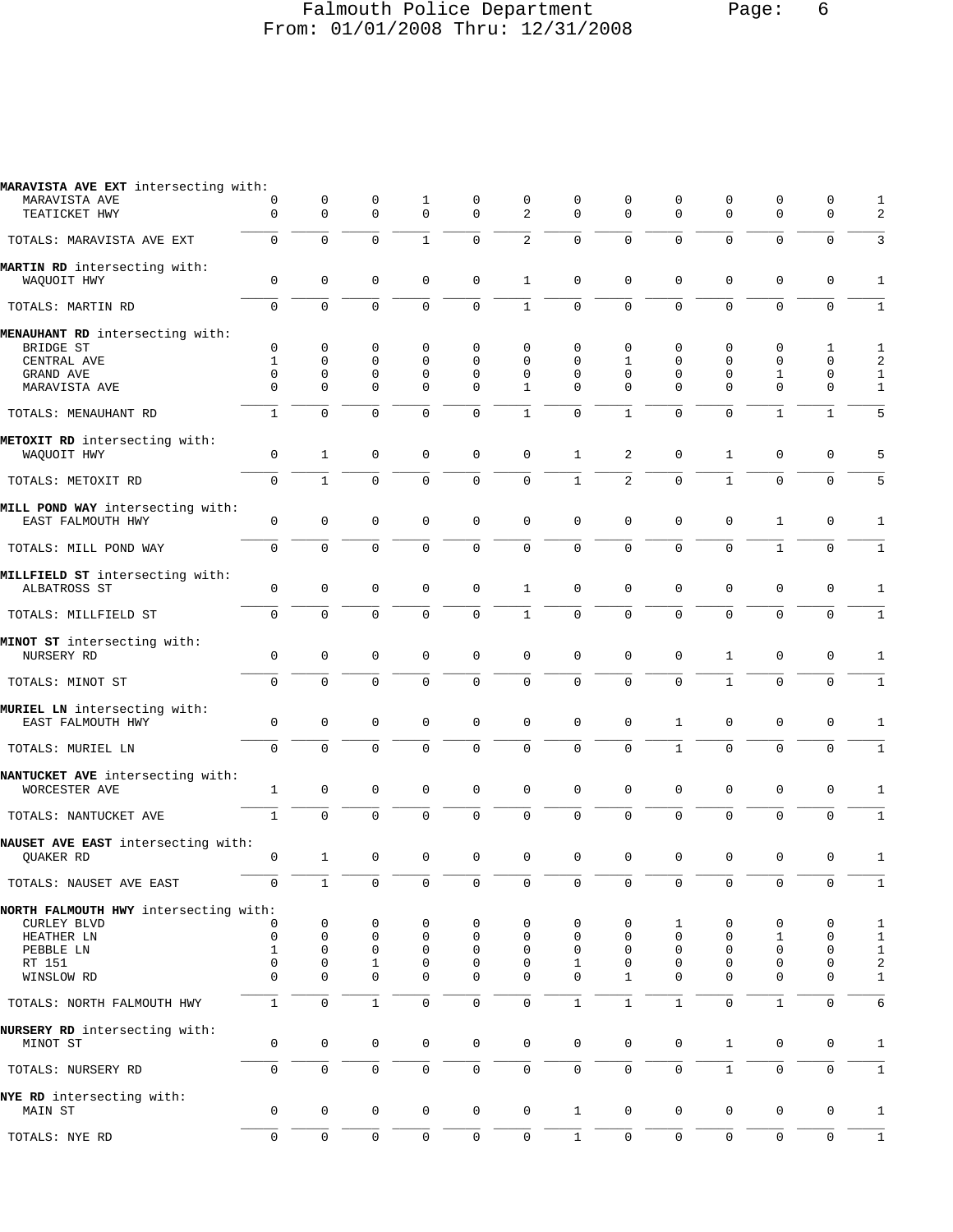# Falmouth Police Department Page: 6 From: 01/01/2008 Thru: 12/31/2008

| MARAVISTA AVE EXT intersecting with:                  |                         |                            |                  |                            |                      |                          |                      |                   |               |                     |                            |                            |                              |
|-------------------------------------------------------|-------------------------|----------------------------|------------------|----------------------------|----------------------|--------------------------|----------------------|-------------------|---------------|---------------------|----------------------------|----------------------------|------------------------------|
| MARAVISTA AVE<br>TEATICKET HWY                        | 0<br>$\Omega$           | 0<br>$\Omega$              | 0<br>$\mathbf 0$ | 1<br>$\Omega$              | 0<br>$\Omega$        | 0<br>$\mathfrak{D}$      | 0<br>$\Omega$        | 0<br>$\Omega$     | 0<br>$\Omega$ | 0<br>$\Omega$       | $\mathbf 0$<br>$\Omega$    | 0<br>$\mathbf 0$           | 1<br>2                       |
| TOTALS: MARAVISTA AVE EXT                             | $\mathbf 0$             | $\mathbf 0$                | $\mathbf 0$      | $\mathbf{1}$               | $\mathbf 0$          | $\overline{2}$           | $\Omega$             | $\Omega$          | $\Omega$      | $\mathbf 0$         | $\mathbf 0$                | $\mathbf 0$                | 3                            |
| MARTIN RD intersecting with:<br>WAQUOIT HWY           | $\mathsf{O}\xspace$     | $\mathbf 0$                | $\mathbf 0$      | $\mathbf 0$                | $\mathbf{0}$         | $\mathbf{1}$             | $\Omega$             | 0                 | 0             | 0                   | $\mathbf 0$                | $\mathbf 0$                | $\mathbf{1}$                 |
| TOTALS: MARTIN RD                                     | $\mathbf 0$             | $\Omega$                   | $\Omega$         | $\Omega$                   | $\mathbf 0$          | $\mathbf{1}$             | $\Omega$             | $\Omega$          | $\Omega$      | $\Omega$            | $\Omega$                   | $\mathbf 0$                | $\mathbf{1}$                 |
| MENAUHANT RD intersecting with:                       |                         |                            |                  |                            |                      |                          |                      |                   |               |                     |                            |                            |                              |
| BRIDGE ST                                             | $\mathbf 0$             | $\mathbf 0$                | 0                | 0                          | $\Omega$             | $\Omega$                 | $\Omega$             | 0                 | 0             | $\mathbf 0$         | $\Omega$                   | 1                          | 1                            |
| CENTRAL AVE                                           | $\mathbf{1}$            | $\mathbf 0$                | $\mathbf 0$      | $\mathbf{0}$               | $\Omega$             | $\Omega$                 | $\mathbf 0$          | $\mathbf{1}$      | 0             | 0                   | $\Omega$                   | $\mathbf 0$                | 2                            |
| GRAND AVE<br>MARAVISTA AVE                            | $\mathbf 0$<br>$\Omega$ | $\mathbf 0$<br>$\Omega$    | 0<br>$\Omega$    | $\mathbf{0}$<br>$\Omega$   | $\Omega$<br>$\Omega$ | $\Omega$<br>$\mathbf{1}$ | $\Omega$<br>$\Omega$ | 0<br>$\Omega$     | 0<br>$\Omega$ | 0<br>$\Omega$       | 1<br>$\Omega$              | 0<br>$\Omega$              | $\mathbf{1}$<br>$\mathbf{1}$ |
|                                                       |                         |                            |                  |                            |                      |                          |                      |                   |               |                     |                            |                            |                              |
| TOTALS: MENAUHANT RD                                  | $\mathbf{1}$            | $\mathbf 0$                | $\Omega$         | $\Omega$                   | 0                    | $\mathbf{1}$             | $\Omega$             | 1                 | 0             | 0                   | $\mathbf{1}$               | 1                          | 5                            |
| METOXIT RD intersecting with:<br>WAQUOIT HWY          | $\mathbf 0$             | $\mathbf{1}$               | $\mathbf 0$      | $\mathbf 0$                | $\mathbf 0$          | $\mathbf 0$              | $\mathbf{1}$         | 2                 | 0             | $\mathbf{1}$        | $\mathbf 0$                | $\mathbf 0$                | 5                            |
| TOTALS: METOXIT RD                                    | $\mathbf 0$             | $\mathbf{1}$               | $\Omega$         | $\Omega$                   | $\mathbf 0$          | $\mathbf 0$              | $\mathbf{1}$         | $\overline{2}$    | $\mathbf 0$   | $\mathbf{1}$        | $\mathbf 0$                | $\mathbf 0$                | 5                            |
| MILL POND WAY intersecting with:<br>EAST FALMOUTH HWY | $\mathbf 0$             | $\mathbf 0$                | 0                | $\mathbf{0}$               | $\mathbf{0}$         | $\mathbf 0$              | $\mathbf 0$          | 0                 | 0             | $\mathbf 0$         | 1                          | $\mathbf 0$                | 1                            |
| TOTALS: MILL POND WAY                                 | $\mathbf 0$             | $\mathbf 0$                | $\Omega$         | $\Omega$                   | $\Omega$             | $\mathbf 0$              | $\Omega$             | $\Omega$          | $\Omega$      | $\mathbf 0$         | $\mathbf{1}$               | $\mathbf 0$                | $\mathbf{1}$                 |
| MILLFIELD ST intersecting with:<br>ALBATROSS ST       | $\mathsf{O}\xspace$     | $\mathbf 0$                | $\Omega$         | $\mathbf 0$                | $\mathbf{0}$         | $\mathbf{1}$             | $\Omega$             | 0                 | 0             | 0                   | $\mathbf 0$                | $\mathbf 0$                | 1                            |
| TOTALS: MILLFIELD ST                                  | $\mathbf 0$             | $\mathbf 0$                | 0                | $\mathbf 0$                | $\mathbf 0$          | $\mathbf{1}$             | $\Omega$             | $\overline{0}$    | 0             | 0                   | $\mathbf 0$                | $\mathbf 0$                | $\mathbf{1}$                 |
| MINOT ST intersecting with:<br>NURSERY RD             | $\mathbf 0$             | $\mathbf 0$                | 0                | $\mathbf{0}$               | $\mathbf 0$          | $\mathbf 0$              | $\mathbf 0$          | 0                 | $\mathbf 0$   | $\mathbf{1}$        | $\mathbf 0$                | 0                          | 1                            |
| TOTALS: MINOT ST                                      | $\Omega$                | $\Omega$                   | $\Omega$         | $\Omega$                   | $\Omega$             | $\Omega$                 | $\Omega$             | $\mathbf 0$       | $\mathbf 0$   | $\mathbf{1}$        | $\Omega$                   | $\Omega$                   | $\mathbf{1}$                 |
| MURIEL LN intersecting with:<br>EAST FALMOUTH HWY     | $\mathbf 0$             | $\mathbf 0$                | $\mathbf 0$      | $\mathbf 0$                | $\mathbf 0$          | $\mathbf 0$              | $\mathbf{0}$         | 0                 | $\mathbf{1}$  | $\mathbf 0$         | $\mathbf 0$                | $\mathbf 0$                | $\mathbf{1}$                 |
| TOTALS: MURIEL LN                                     | $\Omega$                | $\Omega$                   | $\Omega$         | $\Omega$                   | $\Omega$             | $\mathbf 0$              | $\mathbf 0$          | 0                 | $\mathbf{1}$  | $\mathbf 0$         | $\Omega$                   | $\mathbf 0$                | $\mathbf{1}$                 |
| NANTUCKET AVE intersecting with:<br>WORCESTER AVE     | $\mathbf 1$             | 0                          | 0                | $\mathbf 0$                | $\mathbf 0$          | $\mathbf 0$              | $\mathbf 0$          | 0                 | 0             | $\mathbf 0$         | $\mathbf 0$                | $\mathbf 0$                | 1                            |
| TOTALS: NANTUCKET AVE                                 | $\mathbf{1}$            | $\mathbf 0$                | $\mathbf 0$      | $\mathbf 0$                | $\mathbf 0$          | $\mathbf 0$              | $\mathsf{O}$         | $\overline{0}$    | $\mathbf 0$   | 0                   | $\mathbf 0$                | $\mathbf 0$                | $\mathbf{1}$                 |
| NAUSET AVE EAST intersecting with:<br>QUAKER RD       | $\mathbf 0$             | $\mathbf{1}$               | 0                | $\mathbf 0$                | $\mathbf 0$          | $\mathbf 0$              | $\mathbf 0$          | 0                 | $\mathbf 0$   | $\mathbf 0$         | $\mathbf 0$                | $\mathbf 0$                | 1                            |
|                                                       |                         |                            |                  |                            |                      |                          |                      |                   |               |                     |                            |                            |                              |
| TOTALS: NAUSET AVE EAST                               | U                       | $\perp$                    | $\cup$           | U                          | U                    | U                        | U                    | U                 | U             | U                   | U                          | U                          | $\perp$                      |
| NORTH FALMOUTH HWY intersecting with:                 |                         |                            |                  |                            |                      |                          |                      |                   |               |                     |                            |                            |                              |
| CURLEY BLVD                                           | 0                       | 0                          | 0                | $\mathbf 0$                | 0                    | 0                        | 0                    | 0                 | 1             | 0                   | 0                          | 0                          | 1                            |
| HEATHER LN                                            | $\mathbf 0$             | $\mathbf 0$                | 0                | $\mathbf 0$                | 0                    | 0                        | 0                    | $\mathbf 0$       | 0             | $\mathbf 0$         | $\mathbf{1}$               | $\mathbf 0$                | $\mathbf{1}$                 |
| PEBBLE LN                                             | $\mathbf{1}$            | $\mathbf 0$                | 0                | $\mathbf 0$                | 0                    | $\mathbf 0$              | $\mathbf 0$          | 0                 | 0             | 0                   | 0                          | 0                          | $\mathbf{1}$                 |
| RT 151<br>WINSLOW RD                                  | $\mathbf 0$<br>$\Omega$ | $\mathbf 0$<br>$\mathbf 0$ | 1<br>$\mathbf 0$ | $\mathbf 0$<br>$\mathbf 0$ | 0<br>0               | $\mathsf 0$<br>$\Omega$  | 1<br>$\Omega$        | 0<br>$\mathbf{1}$ | 0<br>$\Omega$ | 0<br>0              | $\mathbf 0$<br>$\mathbf 0$ | $\mathbf 0$<br>$\mathbf 0$ | $\sqrt{2}$<br>$\mathbf{1}$   |
| TOTALS: NORTH FALMOUTH HWY                            | $\mathbf{1}$            | $\mathbf 0$                | $\mathbf{1}$     | $\mathsf{O}\xspace$        | $\mathsf{O}\xspace$  | $\mathsf 0$              | $\mathbf{1}$         | $\mathbf{1}$      | $\mathbf{1}$  | 0                   | $\mathbf{1}$               | $\mathbf 0$                | 6                            |
| NURSERY RD intersecting with:<br>MINOT ST             | 0                       | $\mathbf 0$                | 0                | 0                          | 0                    | $\mathsf 0$              | $\mathbf 0$          | 0                 | 0             | $\mathbf{1}$        | $\mathbf 0$                | 0                          | $\mathbf{1}$                 |
| TOTALS: NURSERY RD                                    | $\mathbf 0$             | $\mathbf 0$                | 0                | 0                          | $\mathsf{O}$         | 0                        | 0                    | 0                 | $\mathsf{O}$  | $\mathbf{1}$        | 0                          | $\mathsf{O}\xspace$        | $\mathbf{1}$                 |
| NYE RD intersecting with:<br>MAIN ST                  | $\mathbf 0$             | $\mathbf 0$                | $\mathbf 0$      | 0                          | $\mathsf{O}$         | $\mathsf 0$              | $\mathbf{1}$         | 0                 | $\mathsf{O}$  | $\mathbf 0$         | $\mathbf 0$                | $\mathbf 0$                | $\mathbf{1}$                 |
| TOTALS: NYE RD                                        | $\mathbf 0$             | $\mathsf{O}$               | 0                | 0                          | $\mathsf{O}\xspace$  | 0                        | $\mathbf{1}$         | 0                 | $\mathsf{O}$  | $\mathsf{O}\xspace$ | $\mathsf{O}$               | $\mathsf{O}$               | $1\,$                        |
|                                                       |                         |                            |                  |                            |                      |                          |                      |                   |               |                     |                            |                            |                              |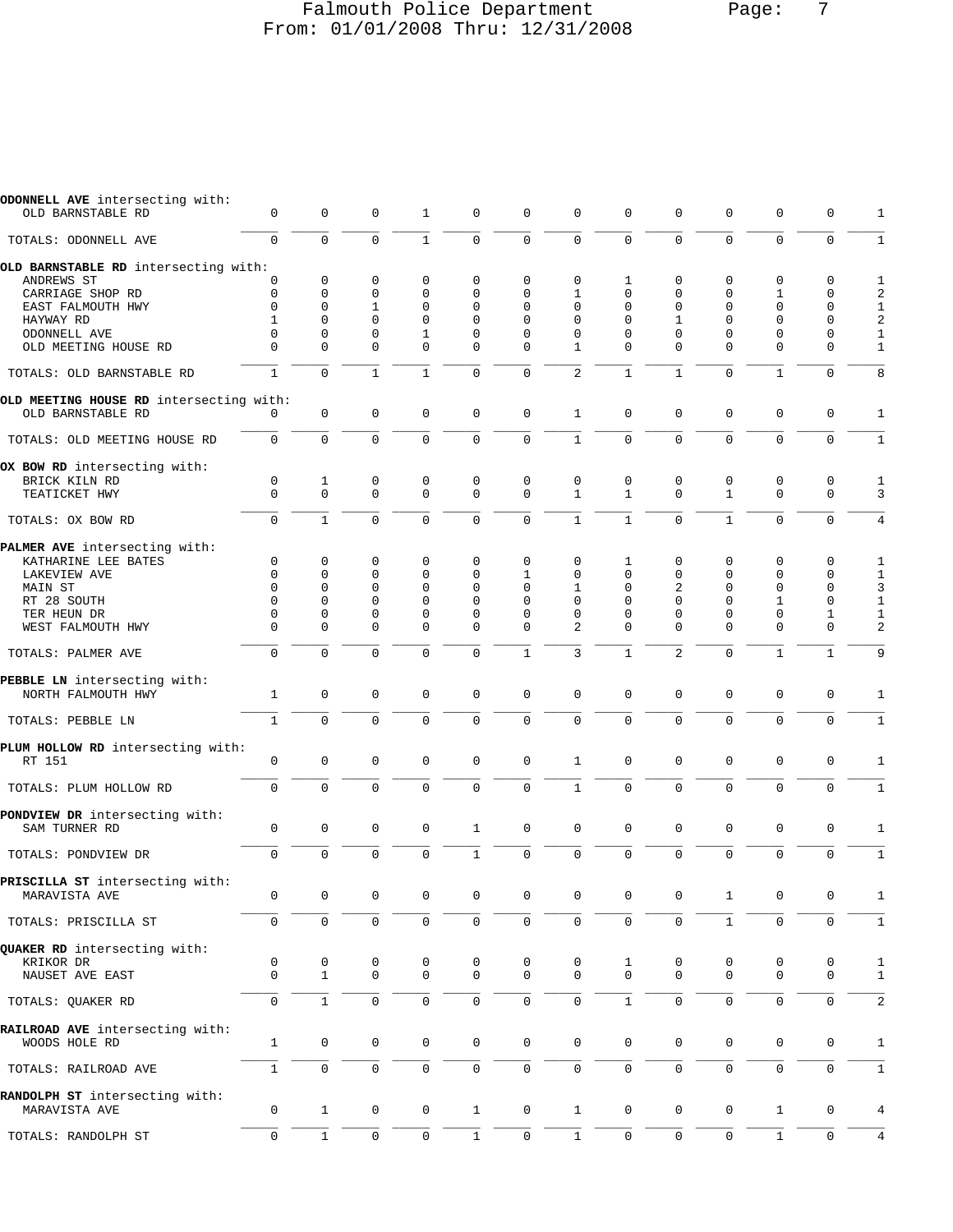#### Falmouth Police Department Page: 7 From: 01/01/2008 Thru: 12/31/2008

| ODONNELL AVE intersecting with:<br>OLD BARNSTABLE RD | $\mathbf 0$         | $\mathbf 0$       | $\mathbf 0$      | 1                | $\mathbf 0$         | $\mathbf 0$         | $\mathbf 0$    | $\mathbf 0$              | $\mathbf 0$         | $\mathbf 0$      | $\mathbf 0$       | $\mathbf 0$         | 1            |
|------------------------------------------------------|---------------------|-------------------|------------------|------------------|---------------------|---------------------|----------------|--------------------------|---------------------|------------------|-------------------|---------------------|--------------|
|                                                      |                     |                   |                  |                  |                     |                     |                |                          |                     |                  |                   |                     |              |
| TOTALS: ODONNELL AVE                                 | $\mathbf 0$         | $\mathbf 0$       | $\mathbf 0$      | $\mathbf{1}$     | $\mathbf 0$         | $\mathbf 0$         | $\mathbf 0$    | $\Omega$                 | $\mathbf 0$         | $\mathbf 0$      | $\mathbf 0$       | $\mathbf 0$         | $\mathbf{1}$ |
| OLD BARNSTABLE RD intersecting with:                 |                     |                   |                  |                  |                     |                     |                |                          |                     |                  |                   |                     |              |
| ANDREWS ST                                           | 0                   | 0                 | 0                | 0                | $\mathbf 0$         | $\mathbf 0$         | $\mathbf 0$    | 1                        | 0                   | 0                | $\mathbf 0$       | $\mathbf 0$         | 1            |
| CARRIAGE SHOP RD                                     | $\Omega$            | $\mathbf 0$       | $\mathbf 0$      | $\Omega$         | $\Omega$            | $\Omega$            | $\mathbf{1}$   | $\Omega$                 | $\Omega$            | $\Omega$         | $\mathbf{1}$      | $\Omega$            | 2            |
| EAST FALMOUTH HWY                                    | $\Omega$            | $\Omega$          | $\mathbf 1$      | $\mathbf 0$      | $\Omega$            | $\Omega$            | $\Omega$       | $\Omega$                 | $\Omega$            | $\Omega$         | $\Omega$          | $\Omega$            | $\mathbf{1}$ |
| HAYWAY RD                                            | $\mathbf{1}$        | $\Omega$          | $\Omega$         | $\Omega$         | $\Omega$            | $\Omega$            | $\Omega$       | $\Omega$                 | $\mathbf{1}$        | $\Omega$         | $\Omega$          | $\Omega$            | $\sqrt{2}$   |
| ODONNELL AVE                                         | $\Omega$            | $\Omega$          | $\Omega$         | $\mathbf{1}$     | $\Omega$            | $\Omega$            | $\Omega$       | $\Omega$                 | $\Omega$            | $\Omega$         | $\Omega$          | $\Omega$            | $1\,$        |
| OLD MEETING HOUSE RD                                 | $\Omega$            | $\Omega$          | $\Omega$         | $\mathbf 0$      | $\Omega$            | $\Omega$            | $\mathbf{1}$   | $\Omega$                 | $\Omega$            | $\Omega$         | $\Omega$          | $\mathbf 0$         | $\mathbf{1}$ |
| TOTALS: OLD BARNSTABLE RD                            | $\mathbf{1}$        | $\Omega$          | $\mathbf{1}$     | $\mathbf{1}$     | $\Omega$            | $\Omega$            | $\overline{2}$ | $\mathbf{1}$             | $\mathbf{1}$        | $\Omega$         | $\mathbf{1}$      | $\Omega$            | 8            |
| OLD MEETING HOUSE RD intersecting with:              |                     |                   |                  |                  |                     |                     |                |                          |                     |                  |                   |                     |              |
| OLD BARNSTABLE RD                                    | $\Omega$            | $\mathbf 0$       | $\mathbf 0$      | $\mathbf 0$      | $\mathbf 0$         | $\mathbf 0$         | $\mathbf{1}$   | $\Omega$                 | $\Omega$            | $\Omega$         | $\Omega$          | $\mathbf 0$         | 1            |
| TOTALS: OLD MEETING HOUSE RD                         | $\mathbf 0$         | $\Omega$          | $\Omega$         | $\Omega$         | $\mathbf 0$         | $\mathbf 0$         | $\mathbf{1}$   | $\Omega$                 | $\Omega$            | $\Omega$         | $\Omega$          | $\Omega$            | $\mathbf{1}$ |
| OX BOW RD intersecting with:                         |                     |                   |                  |                  |                     |                     |                |                          |                     |                  |                   |                     |              |
| BRICK KILN RD                                        | 0                   | 1                 | 0                | 0                | $\mathbf 0$         | 0                   | 0              | 0                        | 0                   | 0                | 0                 | $\mathbf 0$         | 1            |
| TEATICKET HWY                                        | $\Omega$            | $\Omega$          | $\Omega$         | $\Omega$         | $\Omega$            | $\Omega$            | $\mathbf{1}$   | $\mathbf{1}$             | $\Omega$            | $\mathbf{1}$     | $\Omega$          | $\mathbf 0$         | 3            |
| TOTALS: OX BOW RD                                    | $\mathbf 0$         | $\mathbf{1}$      | $\Omega$         | $\Omega$         | $\Omega$            | $\mathbf 0$         | $\mathbf{1}$   | $\mathbf{1}$             | $\Omega$            | $\mathbf{1}$     | $\Omega$          | $\Omega$            | 4            |
|                                                      |                     |                   |                  |                  |                     |                     |                |                          |                     |                  |                   |                     |              |
| PALMER AVE intersecting with:<br>KATHARINE LEE BATES | $\mathbf 0$         | $\mathbf 0$       | $\mathbf 0$      | 0                | $\mathbf 0$         | $\mathbf 0$         | $\mathbf 0$    | 1                        | $\mathbf 0$         | $\mathbf 0$      | $\mathbf 0$       | $\mathbf 0$         | 1            |
| <b>LAKEVIEW AVE</b>                                  | $\Omega$            | $\mathbf 0$       | $\Omega$         | $\Omega$         | $\Omega$            | 1                   | $\Omega$       | $\Omega$                 | $\Omega$            | $\Omega$         | $\Omega$          | $\mathbf 0$         | $1\,$        |
| MAIN ST                                              | $\Omega$            | $\Omega$          | $\mathbf 0$      | $\Omega$         | $\Omega$            | $\Omega$            | 1              | $\Omega$                 | 2                   | $\Omega$         | $\mathbf 0$       | $\Omega$            | 3            |
| RT 28 SOUTH                                          | $\Omega$            | $\mathbf 0$       | $\mathbf 0$      | $\Omega$         | $\Omega$            | $\mathbf 0$         | $\Omega$       | $\Omega$                 | $\Omega$            | $\Omega$         | $\mathbf{1}$      | $\Omega$            | $\mathbf{1}$ |
| TER HEUN DR                                          | $\Omega$            | $\Omega$          | $\Omega$         | $\Omega$         | $\Omega$            | $\Omega$            | $\Omega$       | $\Omega$                 | $\Omega$            | $\Omega$         | $\Omega$          | 1                   | $\mathbf{1}$ |
| WEST FALMOUTH HWY                                    | $\Omega$            | $\Omega$          | $\Omega$         | $\Omega$         | $\Omega$            | $\Omega$            | $\overline{a}$ | $\Omega$                 | $\Omega$            | $\Omega$         | $\Omega$          | $\Omega$            | 2            |
| TOTALS: PALMER AVE                                   | $\Omega$            | $\mathbf 0$       | $\Omega$         | $\Omega$         | $\Omega$            | $\mathbf{1}$        | 3              | $\mathbf{1}$             | 2                   | $\Omega$         | $\mathbf{1}$      | $\mathbf{1}$        | 9            |
| PEBBLE LN intersecting with:                         |                     |                   |                  |                  |                     |                     |                |                          |                     |                  |                   |                     |              |
| NORTH FALMOUTH HWY                                   | $\mathbf{1}$        | $\mathbf 0$       | $\mathbf 0$      | 0                | $\mathbf 0$         | $\mathbf 0$         | $\Omega$       | $\Omega$                 | $\Omega$            | $\mathbf 0$      | $\Omega$          | $\mathbf 0$         | 1            |
|                                                      |                     |                   |                  |                  |                     |                     |                |                          |                     |                  |                   |                     |              |
| TOTALS: PEBBLE LN                                    | $\mathbf{1}$        | $\Omega$          | $\Omega$         | $\Omega$         | $\mathbf 0$         | $\mathbf 0$         | $\mathbf 0$    | $\mathbf 0$              | $\mathbf 0$         | $\Omega$         | $\Omega$          | $\Omega$            | $\mathbf{1}$ |
| PLUM HOLLOW RD intersecting with:                    |                     |                   |                  |                  |                     |                     |                |                          |                     |                  |                   |                     |              |
| RT 151                                               | $\mathbf 0$         | $\mathbf 0$       | $\mathbf 0$      | $\mathbf 0$      | $\mathbf 0$         | $\mathbf 0$         | $\mathbf{1}$   | $\mathbf 0$              | $\mathbf 0$         | $\mathbf 0$      | $\mathbf 0$       | $\mathbf 0$         | 1            |
|                                                      |                     |                   |                  |                  |                     |                     |                |                          |                     |                  |                   |                     |              |
| TOTALS: PLUM HOLLOW RD                               | $\Omega$            | $\mathbf 0$       | $\Omega$         | $\Omega$         | $\Omega$            | $\mathbf 0$         | $\mathbf{1}$   | $\Omega$                 | $\Omega$            | $\Omega$         | $\Omega$          | $\Omega$            | 1            |
| PONDVIEW DR intersecting with:                       |                     |                   |                  |                  |                     |                     |                |                          |                     |                  |                   |                     |              |
| SAM TURNER RD                                        | $\mathbf 0$         | $\mathbf 0$       | $\Omega$         | $\mathbf 0$      | $\mathbf{1}$        | $\Omega$            | $\Omega$       | $\Omega$                 | $\Omega$            | $\Omega$         | $\Omega$          | $\mathbf 0$         | 1            |
|                                                      |                     |                   |                  |                  |                     |                     |                |                          |                     |                  |                   |                     |              |
| TOTALS: PONDVIEW DR                                  | $\mathbf 0$         | $\mathbf 0$       | $\Omega$         | $\mathbf 0$      | $\mathbf{1}$        | $\mathbf 0$         | $\mathbf 0$    | $\Omega$                 | $\Omega$            | $\mathbf 0$      | $\mathbf 0$       | $\mathbf 0$         | 1            |
| PRISCILLA ST intersecting with:                      |                     |                   |                  |                  |                     |                     |                |                          |                     |                  |                   |                     |              |
| MARAVISTA AVE                                        | $\mathbf 0$         | $\mathbf 0$       | $\mathbf 0$      | 0                | $\mathbf 0$         | $\mathbf 0$         | $\mathbf{0}$   | 0                        | 0                   | $\mathbf{1}$     | $\mathbf 0$       | 0                   | $\mathbf{1}$ |
| TOTALS: PRISCILLA ST                                 | $\mathsf{O}\xspace$ | $\mathsf 0$       | $\mathsf 0$      | 0                | $\mathsf 0$         | $\mathsf{O}\xspace$ | $\mathsf 0$    | 0                        | $\mathbf 0$         | $\mathbf{1}$     | $\mathsf 0$       | $\mathbf 0$         | $1\,$        |
|                                                      |                     |                   |                  |                  |                     |                     |                |                          |                     |                  |                   |                     |              |
| QUAKER RD intersecting with:                         |                     |                   |                  |                  |                     |                     |                |                          |                     |                  |                   |                     |              |
| KRIKOR DR<br>NAUSET AVE EAST                         | 0<br>$\mathbf 0$    | 0<br>$\mathbf{1}$ | 0<br>$\mathbf 0$ | 0<br>$\mathbf 0$ | 0<br>$\mathbf 0$    | 0<br>$\mathbf 0$    | 0<br>$\Omega$  | $\mathbf{1}$<br>$\Omega$ | 0<br>$\Omega$       | 0<br>$\mathbf 0$ | 0<br>$\mathbf{0}$ | 0                   | 1            |
|                                                      |                     |                   |                  |                  |                     |                     |                |                          |                     |                  |                   | 0                   | $\mathbf{1}$ |
| TOTALS: QUAKER RD                                    | $\mathbf 0$         | $\mathbf{1}$      | $\mathbf 0$      | 0                | $\mathbf 0$         | $\mathbf 0$         | $\mathbf 0$    | $\mathbf{1}$             | $\mathbf 0$         | $\mathbf 0$      | $\mathbf 0$       | $\mathbf 0$         | 2            |
| RAILROAD AVE intersecting with:                      |                     |                   |                  |                  |                     |                     |                |                          |                     |                  |                   |                     |              |
| WOODS HOLE RD                                        | $\mathbf{1}$        | $\mathbf 0$       | $\mathbf 0$      | 0                | $\mathbf 0$         | $\mathbf 0$         | $\mathbf 0$    | $\mathbf 0$              | $\mathbf 0$         | 0                | $\mathbf 0$       | $\mathbf 0$         | $\mathbf{1}$ |
|                                                      |                     |                   |                  |                  |                     |                     |                |                          |                     |                  |                   |                     |              |
| TOTALS: RAILROAD AVE                                 | $\mathbf{1}$        | $\mathsf 0$       | $\mathsf 0$      | 0                | $\mathsf{O}\xspace$ | $\mathsf{O}\xspace$ | $\mathsf 0$    | 0                        | $\mathsf{O}\xspace$ | $\mathsf 0$      | $\mathsf 0$       | $\mathsf{O}\xspace$ | $1\,$        |
| RANDOLPH ST intersecting with:                       |                     |                   |                  |                  |                     |                     |                |                          |                     |                  |                   |                     |              |
| MARAVISTA AVE                                        | 0                   | $\mathbf{1}$      | 0                | 0                | $\mathbf{1}$        | $\mathbf 0$         | $\mathbf{1}$   | 0                        | 0                   | 0                | $\mathbf{1}$      | 0                   | 4            |
|                                                      |                     |                   |                  |                  |                     |                     |                |                          |                     |                  |                   |                     |              |
| TOTALS: RANDOLPH ST                                  | $\mathbf 0$         | $1\,$             | $\mathbf 0$      | $\mathbf 0$      | $\mathbf{1}$        | $\mathsf{O}\xspace$ | $\mathbf{1}$   | $\mathbf 0$              | $\mathbf 0$         | $\mathbf 0$      | $1\,$             | $\mathbf 0$         | 4            |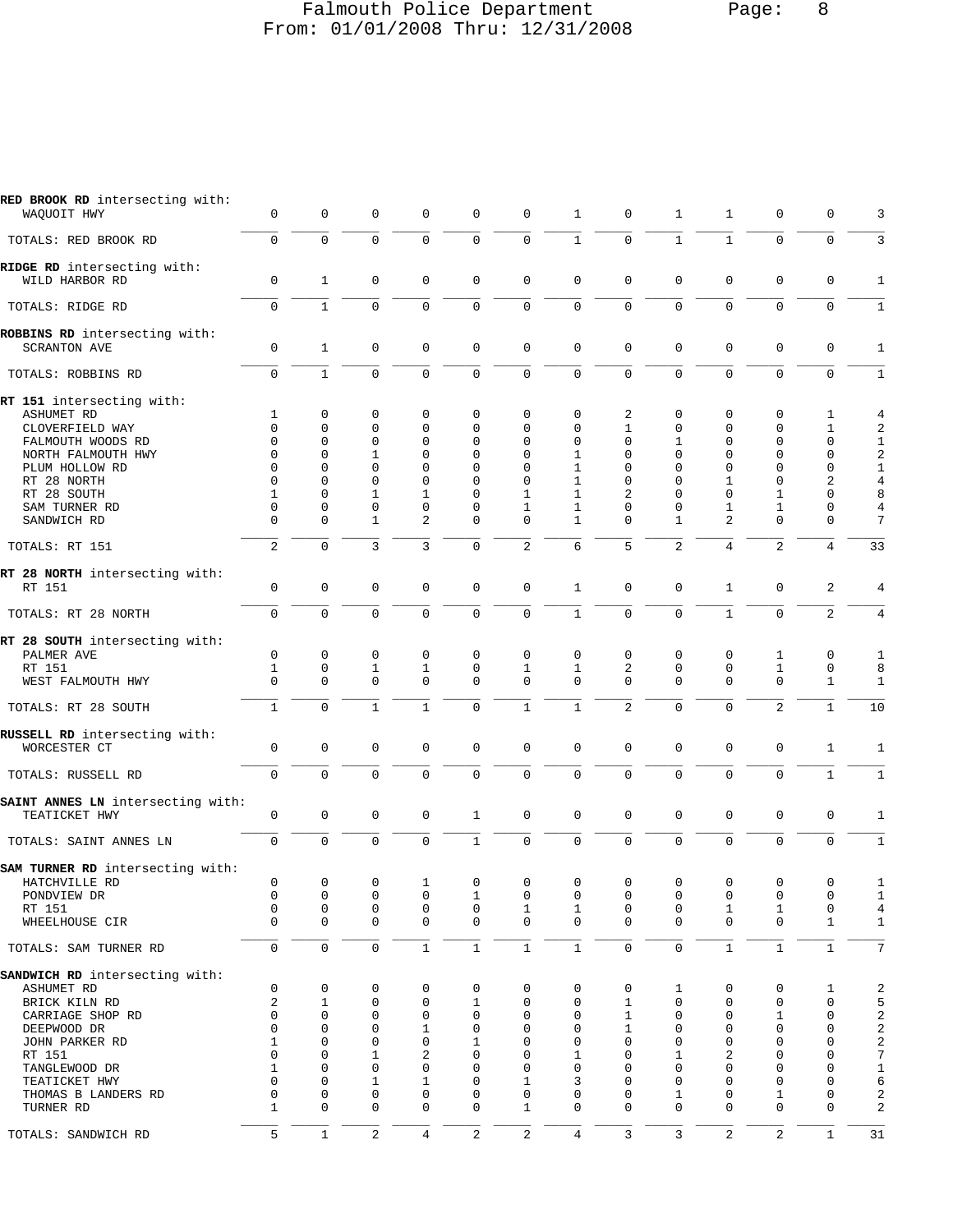## Falmouth Police Department Page: 8 From: 01/01/2008 Thru: 12/31/2008

| RED BROOK RD intersecting with:<br>WAQUOIT HWY                                                                                                                                        | $\mathbf 0$                                                                                         | $\mathbf 0$                                                               | $\mathbf 0$                                                                                                               | $\mathbf 0$                                                                                                    | $\mathbf 0$                                                                                                                           | $\mathbf 0$                                                                                                                | 1                                                                                                               | 0                                                                                 | 1                                                                                           | $\mathbf{1}$                                                                                              | 0                                                                                                  | 0                                                                                                               | 3                                                                              |
|---------------------------------------------------------------------------------------------------------------------------------------------------------------------------------------|-----------------------------------------------------------------------------------------------------|---------------------------------------------------------------------------|---------------------------------------------------------------------------------------------------------------------------|----------------------------------------------------------------------------------------------------------------|---------------------------------------------------------------------------------------------------------------------------------------|----------------------------------------------------------------------------------------------------------------------------|-----------------------------------------------------------------------------------------------------------------|-----------------------------------------------------------------------------------|---------------------------------------------------------------------------------------------|-----------------------------------------------------------------------------------------------------------|----------------------------------------------------------------------------------------------------|-----------------------------------------------------------------------------------------------------------------|--------------------------------------------------------------------------------|
| TOTALS: RED BROOK RD                                                                                                                                                                  | $\mathsf 0$                                                                                         | $\mathsf 0$                                                               | $\mathsf 0$                                                                                                               | 0                                                                                                              | $\mathsf 0$                                                                                                                           | $\mathsf 0$                                                                                                                | $\mathbf 1$                                                                                                     | 0                                                                                 | $\mathbf{1}$                                                                                | $\mathbf{1}$                                                                                              | $\mathsf 0$                                                                                        | 0                                                                                                               | 3                                                                              |
| RIDGE RD intersecting with:<br>WILD HARBOR RD                                                                                                                                         | $\mathbf 0$                                                                                         | $\mathbf{1}$                                                              | $\mathbf 0$                                                                                                               | $\mathbf 0$                                                                                                    | $\mathbf 0$                                                                                                                           | $\mathbf 0$                                                                                                                | $\mathbf 0$                                                                                                     | $\mathbf 0$                                                                       | 0                                                                                           | $\mathbf 0$                                                                                               | $\mathbf 0$                                                                                        | 0                                                                                                               | 1                                                                              |
| TOTALS: RIDGE RD                                                                                                                                                                      | $\mathbf 0$                                                                                         | $\mathbf{1}$                                                              | $\mathbf 0$                                                                                                               | $\mathbf 0$                                                                                                    | $\mathbf 0$                                                                                                                           | $\mathbf 0$                                                                                                                | $\mathbf 0$                                                                                                     | $\mathbf 0$                                                                       | $\mathbf 0$                                                                                 | $\mathbf 0$                                                                                               | $\mathbf 0$                                                                                        | $\mathbf 0$                                                                                                     | $\mathbf{1}$                                                                   |
| ROBBINS RD intersecting with:<br><b>SCRANTON AVE</b>                                                                                                                                  | $\mathbf 0$                                                                                         | $\mathbf{1}$                                                              | $\mathbf 0$                                                                                                               | $\mathbf 0$                                                                                                    | $\mathbf 0$                                                                                                                           | $\mathbf 0$                                                                                                                | $\mathbf 0$                                                                                                     | $\mathbf 0$                                                                       | 0                                                                                           | $\mathbf 0$                                                                                               | $\mathbf 0$                                                                                        | $\mathbf 0$                                                                                                     | $\mathbf{1}$                                                                   |
| TOTALS: ROBBINS RD                                                                                                                                                                    | $\mathbf 0$                                                                                         | $\mathbf{1}$                                                              | $\mathbf 0$                                                                                                               | $\mathbf 0$                                                                                                    | $\mathsf 0$                                                                                                                           | $\mathsf 0$                                                                                                                | $\mathbf 0$                                                                                                     | $\mathbf 0$                                                                       | $\mathbf 0$                                                                                 | $\mathbf 0$                                                                                               | $\mathbf 0$                                                                                        | $\mathbf 0$                                                                                                     | $1\,$                                                                          |
| RT 151 intersecting with:<br>ASHUMET RD<br>CLOVERFIELD WAY<br>FALMOUTH WOODS RD<br>NORTH FALMOUTH HWY<br>PLUM HOLLOW RD<br>RT 28 NORTH<br>RT 28 SOUTH<br>SAM TURNER RD                | 1<br>$\mathbf 0$<br>$\Omega$<br>$\Omega$<br>$\mathbf 0$<br>$\Omega$<br>$\mathbf{1}$<br>$\mathbf 0$  | 0<br>$\mathbf 0$<br>$\mathbf 0$<br>$\Omega$<br>0<br>0<br>0<br>$\mathsf 0$ | 0<br>$\mathbf 0$<br>$\mathbf 0$<br>1<br>$\mathbf 0$<br>$\mathbf 0$<br>1<br>$\mathbf 0$                                    | 0<br>0<br>0<br>$\Omega$<br>$\mathbf 0$<br>$\Omega$<br>1<br>$\mathbf 0$                                         | $\mathbf 0$<br>$\mathbf 0$<br>$\mathbf 0$<br>$\Omega$<br>$\mathbf 0$<br>$\Omega$<br>$\Omega$<br>$\mathbf 0$                           | 0<br>$\Omega$<br>$\mathbf 0$<br>$\Omega$<br>0<br>$\mathbf 0$<br>1<br>1                                                     | $\mathbf 0$<br>$\mathbf 0$<br>$\mathbf 0$<br>1<br>$\mathbf{1}$<br>1<br>1<br>$\mathbf{1}$                        | 2<br>$\mathbf 1$<br>0<br>$\Omega$<br>$\mathbf 0$<br>0<br>2<br>0                   | 0<br>0<br>1<br>$\Omega$<br>0<br>0<br>$\Omega$<br>$\mathbf 0$                                | 0<br>$\mathbf 0$<br>$\mathbf 0$<br>$\Omega$<br>$\mathbf 0$<br>1<br>$\Omega$<br>1                          | 0<br>$\mathbf 0$<br>$\mathbf 0$<br>$\Omega$<br>$\mathbf 0$<br>$\mathbf 0$<br>1<br>1                | 1<br>$\mathbf{1}$<br>0<br>$\mathbf 0$<br>$\mathbf 0$<br>2<br>$\mathbf 0$<br>$\mathbf 0$                         | 4<br>2<br>1<br>2<br>$\mathbf 1$<br>$\overline{4}$<br>8<br>$\overline{4}$       |
| SANDWICH RD                                                                                                                                                                           | $\mathbf 0$                                                                                         | 0                                                                         | 1                                                                                                                         | 2                                                                                                              | $\mathbf 0$                                                                                                                           | $\mathbf 0$                                                                                                                | 1                                                                                                               | $\Omega$                                                                          | 1                                                                                           | 2                                                                                                         | $\mathbf 0$                                                                                        | 0                                                                                                               | 7                                                                              |
| TOTALS: RT 151                                                                                                                                                                        | 2                                                                                                   | $\mathbf 0$                                                               | 3                                                                                                                         | 3                                                                                                              | $\mathbf 0$                                                                                                                           | $\overline{2}$                                                                                                             | 6                                                                                                               | 5                                                                                 | $\overline{a}$                                                                              | $\overline{4}$                                                                                            | $\overline{2}$                                                                                     | 4                                                                                                               | 33                                                                             |
| RT 28 NORTH intersecting with:<br>RT 151                                                                                                                                              | $\mathsf 0$                                                                                         | $\mathsf{O}\xspace$                                                       | $\mathbf 0$                                                                                                               | $\mathbf 0$                                                                                                    | $\mathbf 0$                                                                                                                           | $\mathsf 0$                                                                                                                | $\mathbf{1}$                                                                                                    | $\mathbf 0$                                                                       | 0                                                                                           | $\mathbf{1}$                                                                                              | $\mathbf 0$                                                                                        | 2                                                                                                               | 4                                                                              |
| TOTALS: RT 28 NORTH                                                                                                                                                                   | $\mathbf 0$                                                                                         | $\mathbf 0$                                                               | $\mathbf 0$                                                                                                               | $\mathbf 0$                                                                                                    | $\mathsf{O}\xspace$                                                                                                                   | $\mathsf{O}\xspace$                                                                                                        | $\mathbf{1}$                                                                                                    | 0                                                                                 | $\mathbf 0$                                                                                 | $\mathbf{1}$                                                                                              | $\mathbf 0$                                                                                        | 2                                                                                                               | $\overline{4}$                                                                 |
| RT 28 SOUTH intersecting with:<br>PALMER AVE<br>RT 151<br>WEST FALMOUTH HWY<br>TOTALS: RT 28 SOUTH                                                                                    | $\mathbf 0$<br>1<br>$\mathbf 0$<br>$\mathbf{1}$                                                     | $\mathbf 0$<br>0<br>$\mathbf 0$<br>$\mathbf 0$                            | $\mathbf 0$<br>1<br>$\mathbf 0$<br>$\mathbf{1}$                                                                           | 0<br>1<br>0<br>$\mathbf{1}$                                                                                    | $\mathbf 0$<br>0<br>$\mathbf 0$<br>$\mathbf 0$                                                                                        | $\mathbf 0$<br>1<br>$\mathbf 0$<br>$\mathbf{1}$                                                                            | $\mathbf 0$<br>1<br>$\mathbf 0$<br>$\mathbf{1}$                                                                 | $\mathbf 0$<br>2<br>$\mathbf{0}$<br>2                                             | 0<br>0<br>$\mathbf 0$<br>$\mathbf 0$                                                        | $\mathbf 0$<br>0<br>$\mathbf 0$<br>$\mathbf 0$                                                            | 1<br>1<br>$\mathsf 0$<br>2                                                                         | 0<br>0<br>$\mathbf{1}$<br>1                                                                                     | 1<br>8<br>$1\,$<br>10                                                          |
| RUSSELL RD intersecting with:<br>WORCESTER CT                                                                                                                                         | $\mathbf 0$                                                                                         | $\mathbf 0$                                                               | $\mathbf 0$                                                                                                               | $\mathbf 0$                                                                                                    | $\mathbf 0$                                                                                                                           | $\mathbf 0$                                                                                                                | $\mathbf 0$                                                                                                     | $\mathbf 0$                                                                       | $\mathbf 0$                                                                                 | $\mathbf 0$                                                                                               | $\mathbf 0$                                                                                        | $\mathbf{1}$                                                                                                    | 1                                                                              |
| TOTALS: RUSSELL RD                                                                                                                                                                    | $\mathbf 0$                                                                                         | $\mathsf 0$                                                               | $\mathbf 0$                                                                                                               | $\mathbf 0$                                                                                                    | $\mathsf 0$                                                                                                                           | $\mathsf 0$                                                                                                                | $\mathsf 0$                                                                                                     | $\mathsf 0$                                                                       | $\mathsf 0$                                                                                 | $\mathsf 0$                                                                                               | $\mathsf 0$                                                                                        | $\mathbf{1}$                                                                                                    | $\mathbf 1$                                                                    |
| SAINT ANNES LN intersecting with:<br>TEATICKET HWY                                                                                                                                    | $\mathbf 0$                                                                                         | $\mathbf 0$                                                               | $\mathbf 0$                                                                                                               | 0                                                                                                              | $\mathbf{1}$                                                                                                                          | $\mathbf 0$                                                                                                                | $\mathbf 0$                                                                                                     | $\mathbf 0$                                                                       | 0                                                                                           | $\mathbf 0$                                                                                               | $\mathbf 0$                                                                                        | $\mathbf 0$                                                                                                     | 1                                                                              |
| TOTALS: SAINT ANNES LN                                                                                                                                                                | $\mathbf 0$                                                                                         | $\mathbf 0$                                                               | $\mathbf 0$                                                                                                               | $\mathbf 0$                                                                                                    | $\mathbf{1}$                                                                                                                          | $\mathbf 0$                                                                                                                | $\mathbf 0$                                                                                                     | $\mathbf 0$                                                                       | $\mathbf 0$                                                                                 | $\mathbf 0$                                                                                               | $\mathbf 0$                                                                                        | $\mathbf 0$                                                                                                     | $1\,$                                                                          |
| SAM TURNER RD intersecting with:<br>HATCHVILLE RD<br>PONDVIEW DR<br>RT 151<br>WHEELHOUSE CIR                                                                                          | 0<br>0<br>$\mathsf 0$<br>$\Omega$                                                                   | 0<br>$\mathsf 0$<br>$\mathbf 0$<br>$\mathbf 0$                            | 0<br>$\mathbf 0$<br>$\mathbf 0$<br>$\mathbf 0$                                                                            | 1<br>$\mathbf 0$<br>$\mathbf 0$<br>$\mathbf 0$                                                                 | 0<br>$1\,$<br>$\mathbf 0$<br>$\mathbf 0$                                                                                              | 0<br>$\mathbf 0$<br>$\mathbf{1}$<br>$\mathbf 0$                                                                            | 0<br>$\mathsf 0$<br>$\mathbf{1}$<br>$\Omega$                                                                    | 0<br>0<br>$\mathbf 0$<br>$\Omega$                                                 | 0<br>$\mathbf 0$<br>$\mathsf 0$<br>$\Omega$                                                 | 0<br>$\mathbf 0$<br>$\mathbf{1}$<br>$\mathbf 0$                                                           | 0<br>$\mathsf 0$<br>$\mathbf{1}$<br>$\mathbf 0$                                                    | 0<br>$\mathbf 0$<br>$\mathbf 0$<br>$\mathbf 1$                                                                  | 1<br>$1\,$<br>$\overline{4}$<br>$1\,$                                          |
| TOTALS: SAM TURNER RD                                                                                                                                                                 | $\mathbf 0$                                                                                         | $\mathbf 0$                                                               | $\mathbf 0$                                                                                                               | $1\,$                                                                                                          | $\mathbf{1}$                                                                                                                          | $\,1\,$                                                                                                                    | $\mathbf{1}$                                                                                                    | $\mathbf 0$                                                                       | $\mathbf 0$                                                                                 | $\mathbf{1}$                                                                                              | $\mathbf{1}$                                                                                       | $\mathbf{1}$                                                                                                    | 7                                                                              |
| SANDWICH RD intersecting with:<br>ASHUMET RD<br>BRICK KILN RD<br>CARRIAGE SHOP RD<br>DEEPWOOD DR<br>JOHN PARKER RD<br>RT 151<br>TANGLEWOOD DR<br>TEATICKET HWY<br>THOMAS B LANDERS RD | $\mathsf 0$<br>2<br>0<br>$\Omega$<br>1<br>$\mathbf 0$<br>$\mathbf{1}$<br>$\mathbf 0$<br>$\mathbf 0$ | 0<br>$\mathbf{1}$<br>0<br>0<br>0<br>0<br>0<br>0<br>$\mathsf 0$            | 0<br>$\mathbf 0$<br>$\mathbf 0$<br>$\mathbf 0$<br>$\mathbf 0$<br>$\mathbf 1$<br>$\mathbf 0$<br>$\mathbf 1$<br>$\mathbf 0$ | 0<br>$\mathbf 0$<br>$\mathbf 0$<br>$\mathbf{1}$<br>$\Omega$<br>2<br>$\mathbf 0$<br>$\mathbf{1}$<br>$\mathbf 0$ | $\mathbf 0$<br>$\mathbf{1}$<br>$\mathbf 0$<br>$\mathbf 0$<br>$\mathbf{1}$<br>$\mathbf 0$<br>$\mathbf 0$<br>$\mathbf 0$<br>$\mathbf 0$ | $\mathbf 0$<br>$\mathbf 0$<br>$\mathbf 0$<br>$\mathbf 0$<br>$\mathbf 0$<br>0<br>$\mathbf 0$<br>$\mathbf{1}$<br>$\mathbf 0$ | $\mathsf 0$<br>$\mathsf 0$<br>$\mathbf 0$<br>$\mathbf 0$<br>$\mathbf 0$<br>1<br>$\mathbf 0$<br>3<br>$\mathbf 0$ | 0<br>$\mathbf{1}$<br>$\mathbf{1}$<br>$\mathbf{1}$<br>$\Omega$<br>0<br>0<br>0<br>0 | 1<br>$\mathbf 0$<br>$\mathbf 0$<br>0<br>$\mathbf 0$<br>1<br>$\mathbf 0$<br>$\mathbf 0$<br>1 | 0<br>$\mathbf 0$<br>$\mathbf 0$<br>$\Omega$<br>$\mathbf 0$<br>2<br>$\mathbf 0$<br>$\Omega$<br>$\mathbf 0$ | 0<br>$\mathbf 0$<br>1<br>$\mathbf 0$<br>$\Omega$<br>$\mathbf 0$<br>$\mathbf 0$<br>$\mathbf 0$<br>1 | 1<br>$\mathbf 0$<br>0<br>$\mathbf 0$<br>$\mathbf 0$<br>$\mathbf 0$<br>$\mathbf 0$<br>$\mathbf 0$<br>$\mathbf 0$ | 2<br>5<br>2<br>$\sqrt{2}$<br>$\sqrt{2}$<br>$\sqrt{ }$<br>$\mathbf 1$<br>6<br>2 |
| TURNER RD                                                                                                                                                                             | $\mathbf{1}$                                                                                        | $\mathbf 0$                                                               | $\Omega$                                                                                                                  | $\mathbf 0$                                                                                                    | $\mathbf 0$                                                                                                                           | $\mathbf{1}$                                                                                                               | $\Omega$                                                                                                        | $\Omega$                                                                          | $\Omega$                                                                                    | $\Omega$                                                                                                  | $\Omega$                                                                                           | $\mathbf 0$                                                                                                     | $\sqrt{2}$                                                                     |
| TOTALS: SANDWICH RD                                                                                                                                                                   | 5                                                                                                   | $\mathbf{1}$                                                              | 2                                                                                                                         | 4                                                                                                              | $\overline{2}$                                                                                                                        | $\sqrt{2}$                                                                                                                 | 4                                                                                                               | 3                                                                                 | 3                                                                                           | $\sqrt{2}$                                                                                                | $\mathbf{2}$                                                                                       | $\mathbf{1}$                                                                                                    | 31                                                                             |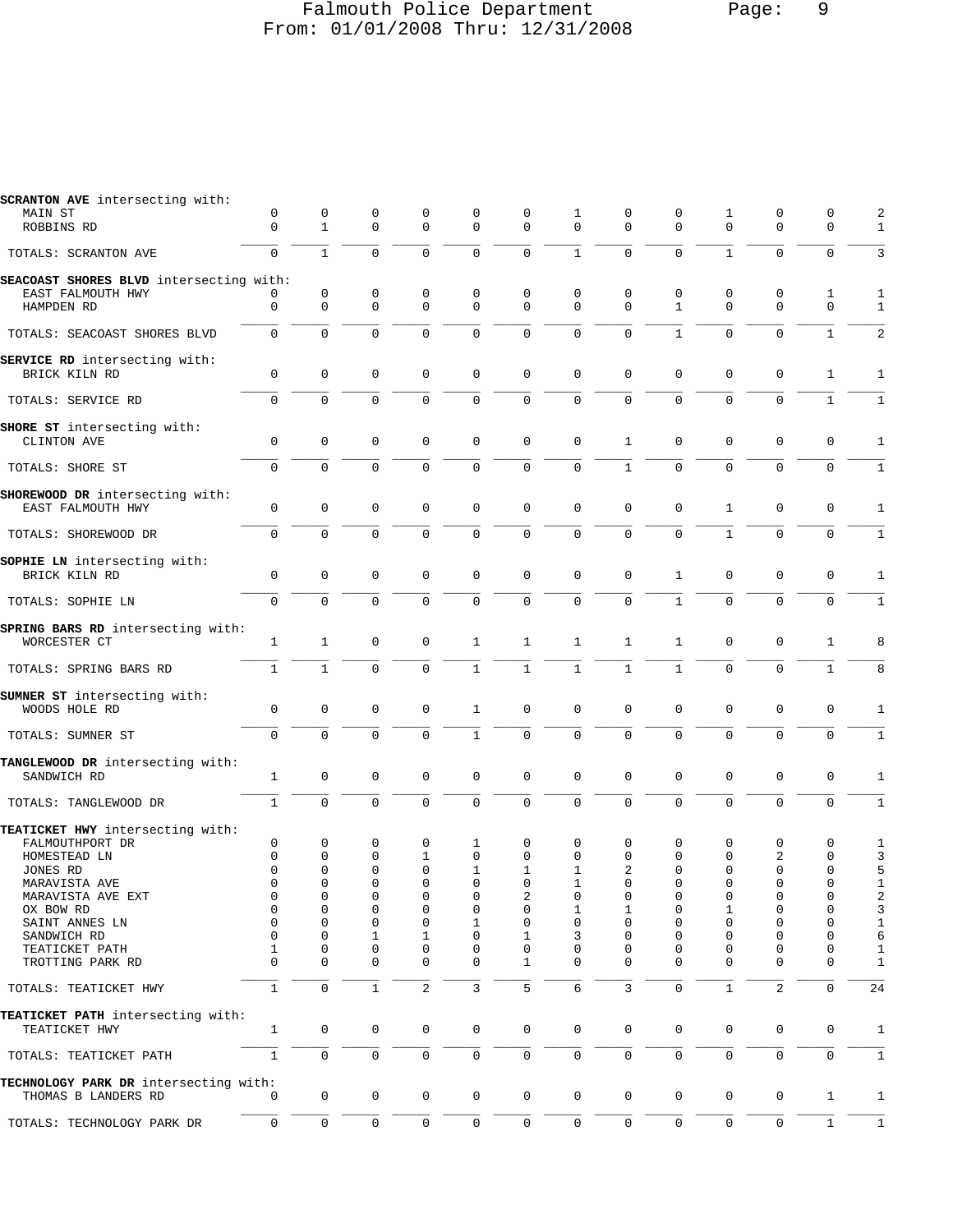#### Falmouth Police Department Page: 9 From: 01/01/2008 Thru: 12/31/2008

| <b>SCRANTON AVE</b> intersecting with:                       |              |              |                     |              |                |                     |                |              |              |              |                |              |                |
|--------------------------------------------------------------|--------------|--------------|---------------------|--------------|----------------|---------------------|----------------|--------------|--------------|--------------|----------------|--------------|----------------|
| MAIN ST                                                      | 0            | 0            | 0                   | 0            | 0              | 0                   | 1              | 0            | 0            | 1            | 0              | 0            | 2              |
| ROBBINS RD                                                   | $\mathbf{0}$ | $\mathbf{1}$ | $\mathbf 0$         | $\mathbf{0}$ | $\mathbf 0$    | $\mathbf 0$         | $\Omega$       | 0            | $\mathbf 0$  | $\mathbf 0$  | $\mathbf 0$    | $\mathbf 0$  | $\mathbf{1}$   |
| TOTALS: SCRANTON AVE                                         | $\mathbf 0$  | $\mathbf{1}$ | $\mathbf 0$         | $\mathbf 0$  | 0              | $\mathbf 0$         | $\mathbf{1}$   | 0            | $\mathbf 0$  | $\mathbf{1}$ | 0              | $\mathbf 0$  | 3              |
|                                                              |              |              |                     |              |                |                     |                |              |              |              |                |              |                |
| SEACOAST SHORES BLVD intersecting with:<br>EAST FALMOUTH HWY | 0            | $\mathbf 0$  | 0                   | $\mathbf 0$  | 0              | 0                   | $\mathbf 0$    | 0            | 0            | $\mathbf 0$  | 0              | 1            | 1              |
| HAMPDEN RD                                                   | $\mathbf 0$  | $\mathbf 0$  | $\mathbf 0$         | $\mathbf 0$  | $\mathbf 0$    | $\mathbf 0$         | $\Omega$       | $\Omega$     | $\mathbf{1}$ | $\mathbf 0$  | $\mathbf 0$    | $\mathbf 0$  | $\mathbf{1}$   |
|                                                              |              |              |                     |              |                |                     |                |              |              |              |                |              |                |
| TOTALS: SEACOAST SHORES BLVD                                 | $\mathbf 0$  | $\mathbf 0$  | $\mathbf 0$         | $\mathbf 0$  | $\mathbf 0$    | $\mathsf 0$         | $\mathbf 0$    | $\Omega$     | $\mathbf{1}$ | $\mathbf 0$  | $\mathbf{0}$   | $\mathbf{1}$ | $\overline{2}$ |
| SERVICE RD intersecting with:                                |              |              |                     |              |                |                     |                |              |              |              |                |              |                |
| BRICK KILN RD                                                | 0            | $\mathbf 0$  | $\mathbf 0$         | 0            | $\mathbf 0$    | $\mathbf 0$         | $\mathbf 0$    | $\mathbf 0$  | 0            | 0            | 0              | 1            | 1              |
| TOTALS: SERVICE RD                                           | $\Omega$     | $\Omega$     | $\Omega$            | $\Omega$     | 0              | $\Omega$            | $\Omega$       | $\Omega$     | $\Omega$     | $\Omega$     | $\Omega$       | $\mathbf{1}$ | $\mathbf{1}$   |
|                                                              |              |              |                     |              |                |                     |                |              |              |              |                |              |                |
| SHORE ST intersecting with:                                  |              |              |                     |              |                |                     |                |              |              |              |                |              |                |
| CLINTON AVE                                                  | $\mathbf 0$  | $\mathbf 0$  | $\mathbf 0$         | 0            | $\mathbf 0$    | $\mathbf 0$         | $\mathbf 0$    | 1            | 0            | $\mathsf 0$  | $\mathbf 0$    | $\mathbf 0$  | 1              |
| TOTALS: SHORE ST                                             | $\mathbf 0$  | 0            | $\mathbf 0$         | $\mathbf 0$  | 0              | $\mathbf 0$         | $\mathbf 0$    | $\mathbf{1}$ | $\mathbf 0$  | $\mathsf{O}$ | 0              | $\mathbf 0$  | $\mathbf{1}$   |
|                                                              |              |              |                     |              |                |                     |                |              |              |              |                |              |                |
| SHOREWOOD DR intersecting with:                              |              |              |                     |              |                |                     |                |              |              |              |                |              |                |
| EAST FALMOUTH HWY                                            | $\mathbf 0$  | $\mathbf 0$  | $\mathbf 0$         | $\mathbf 0$  | $\mathbf 0$    | $\mathbf 0$         | $\mathbf{0}$   | $\mathbf 0$  | $\mathbf 0$  | $\mathbf{1}$ | $\mathbf 0$    | $\mathbf 0$  | 1              |
| TOTALS: SHOREWOOD DR                                         | $\mathbf 0$  | $\mathbf 0$  | $\mathbf 0$         | $\mathbf 0$  | 0              | $\mathbf 0$         | $\mathbf 0$    | $\mathbf{0}$ | $\mathbf 0$  | $\mathbf{1}$ | 0              | $\mathbf 0$  | $\mathbf{1}$   |
|                                                              |              |              |                     |              |                |                     |                |              |              |              |                |              |                |
| SOPHIE LN intersecting with:                                 |              |              |                     |              |                |                     |                |              |              |              |                |              |                |
| BRICK KILN RD                                                | $\mathbf{0}$ | $\mathbf 0$  | $\mathbf 0$         | $\mathbf 0$  | $\mathbf 0$    | $\mathbf 0$         | $\mathbf 0$    | $\mathbf 0$  | 1            | $\mathbf 0$  | $\mathbf 0$    | 0            | 1              |
|                                                              |              |              |                     |              |                |                     |                |              |              |              |                |              |                |
| TOTALS: SOPHIE LN                                            | $\mathbf{0}$ | $\Omega$     | $\Omega$            | $\Omega$     | $\mathbf 0$    | $\mathbf 0$         | $\mathbf 0$    | $\Omega$     | $\mathbf{1}$ | $\Omega$     | $\mathbf 0$    | $\Omega$     | $\mathbf{1}$   |
|                                                              |              |              |                     |              |                |                     |                |              |              |              |                |              |                |
| SPRING BARS RD intersecting with:                            |              |              |                     |              |                |                     |                |              |              |              |                |              |                |
| WORCESTER CT                                                 | 1            | $\mathbf{1}$ | $\mathbf 0$         | $\mathbf 0$  | 1              | $\mathbf{1}$        | 1              | 1            | 1            | 0            | 0              | 1            | 8              |
| TOTALS: SPRING BARS RD                                       | $\mathbf{1}$ | $\mathbf{1}$ | $\mathbf 0$         | $\mathbf 0$  | $\mathbf{1}$   | $\mathbf{1}$        | $\mathbf{1}$   | $\mathbf{1}$ | $\mathbf{1}$ | $\mathbf 0$  | $\mathbf 0$    | $\mathbf{1}$ | 8              |
|                                                              |              |              |                     |              |                |                     |                |              |              |              |                |              |                |
| SUMNER ST intersecting with:                                 |              |              |                     |              |                |                     |                |              |              |              |                |              |                |
| WOODS HOLE RD                                                | 0            | 0            | 0                   | $\mathbf 0$  | 1              | $\mathbf 0$         | $\mathbf{0}$   | $\mathbf 0$  | 0            | $\mathsf 0$  | $\mathbf 0$    | $\mathbf 0$  | 1              |
|                                                              | $\mathbf 0$  | $\Omega$     | $\Omega$            | $\Omega$     | $\mathbf{1}$   | $\mathbf 0$         | $\Omega$       | $\Omega$     | $\Omega$     | $\mathbf 0$  | 0              | $\mathbf 0$  | $\mathbf{1}$   |
| TOTALS: SUMNER ST                                            |              |              |                     |              |                |                     |                |              |              |              |                |              |                |
| TANGLEWOOD DR intersecting with:                             |              |              |                     |              |                |                     |                |              |              |              |                |              |                |
| SANDWICH RD                                                  | 1            | $\mathbf 0$  | $\mathbf 0$         | 0            | $\mathsf 0$    | $\mathbf 0$         | $\mathbf 0$    | $\mathbf 0$  | 0            | $\mathsf 0$  | $\mathbf 0$    | 0            | 1              |
|                                                              |              |              |                     |              |                |                     |                |              |              |              |                |              |                |
| TOTALS: TANGLEWOOD DR                                        | $\mathbf{1}$ | 0            | $\mathbf 0$         | $\mathbf 0$  | 0              | $\mathbf 0$         | $\overline{0}$ | $\Omega$     | $\mathbf 0$  | $\mathbf 0$  | $\mathbf 0$    | $\Omega$     | $\mathbf 1$    |
|                                                              |              |              |                     |              |                |                     |                |              |              |              |                |              |                |
| TEATICKET HWY intersecting with:<br>FALMOUTHPORT DR          | 0            | 0            | 0                   | $\mathbf 0$  | 1              | 0                   | $\mathbf 0$    | 0            | 0            | 0            | 0              | $\mathbf 0$  | 1              |
| HOMESTEAD LN                                                 | 0            | 0            | 0                   | 1            | $\mathbf 0$    | 0                   | $\mathbf 0$    | 0            | $\mathbf 0$  | 0            | 2              | 0            | 3              |
| JONES RD                                                     | $\mathbf 0$  | $\Omega$     | $\mathbf 0$         | $\mathbf 0$  | 1              | 1                   | $\mathbf{1}$   | 2            | $\Omega$     | $\Omega$     | 0              | $\mathbf 0$  | 5              |
| MARAVISTA AVE                                                | 0            | 0            | 0                   | 0            | 0              | 0                   | ı              | 0            | 0            | O            | 0              | 0            | 1              |
| MARAVISTA AVE EXT                                            | 0            | 0            | 0                   | 0            | 0              | 2                   | 0              | 0            | 0            | 0            | 0              | 0            | 2              |
| OX BOW RD                                                    | 0            | 0            | 0                   | $\Omega$     | $\Omega$       | 0                   | 1              | 1            | 0            | 1            | 0              | $\Omega$     | 3              |
| SAINT ANNES LN                                               | $\mathbf 0$  | 0            | $\mathbf 0$         | $\mathbf 0$  | 1              | $\mathbf 0$         | $\mathbf 0$    | 0            | 0            | 0            | 0              | 0            | $\mathbf 1$    |
| SANDWICH RD                                                  | 0            | 0            | 1                   | 1            | $\mathbf 0$    | 1                   | 3              | 0            | 0            | 0            | 0              | $\mathbf 0$  | 6              |
| TEATICKET PATH                                               | 1            | 0            | $\mathbf 0$         | 0            | 0              | 0                   | 0              | $\Omega$     | 0            | 0            | 0              | 0            | $\mathbf{1}$   |
| TROTTING PARK RD                                             | $\Omega$     | $\Omega$     | $\mathbf 0$         | $\mathbf 0$  | 0              | $\mathbf 1$         | $\Omega$       | $\Omega$     | $\Omega$     | $\Omega$     | 0              | $\mathbf 0$  | $1\,$          |
|                                                              |              |              |                     |              |                |                     |                |              |              |              |                |              |                |
| TOTALS: TEATICKET HWY                                        | $\mathbf{1}$ | $\mathbf 0$  | $\mathbf{1}$        | 2            | $\overline{3}$ | 5                   | 6              | 3            | $\mathbf 0$  | $\mathbf{1}$ | $\overline{c}$ | $\Omega$     | 24             |
| TEATICKET PATH intersecting with:                            |              |              |                     |              |                |                     |                |              |              |              |                |              |                |
| TEATICKET HWY                                                | $\mathbf{1}$ | $\mathbf 0$  | $\mathbf 0$         | 0            | $\mathbf 0$    | $\mathbf 0$         | 0              | $\mathbf 0$  | $\mathbf 0$  | 0            | $\mathbf 0$    | $\mathbf 0$  | 1              |
|                                                              |              |              |                     |              |                |                     |                |              |              |              |                |              |                |
| TOTALS: TEATICKET PATH                                       | $\mathbf{1}$ | $\mathbf 0$  | $\mathsf{O}\xspace$ | 0            | $\mathbf 0$    | $\mathsf{O}\xspace$ | $\mathbf 0$    | $\mathbf 0$  | $\mathsf{O}$ | $\mathbf 0$  | $\mathsf 0$    | 0            | $\mathbf{1}$   |
| TECHNOLOGY PARK DR intersecting with:                        |              |              |                     |              |                |                     |                |              |              |              |                |              |                |
| THOMAS B LANDERS RD                                          | $\Omega$     | $\mathbf 0$  | 0                   | 0            | $\mathbf 0$    | $\mathbf 0$         | $\mathbf 0$    | $\mathbf 0$  | 0            | 0            | $\mathbf 0$    | $\mathbf{1}$ | $\mathbf{1}$   |
|                                                              |              |              |                     |              |                |                     |                |              |              |              |                |              |                |
| TOTALS: TECHNOLOGY PARK DR                                   | 0            | $\mathbf 0$  | $\mathbf 0$         | 0            | $\mathbf 0$    | 0                   | 0              | $\mathbf 0$  | $\mathbf 0$  | 0            | $\mathbf 0$    | $\mathbf{1}$ | $\mathbf{1}$   |
|                                                              |              |              |                     |              |                |                     |                |              |              |              |                |              |                |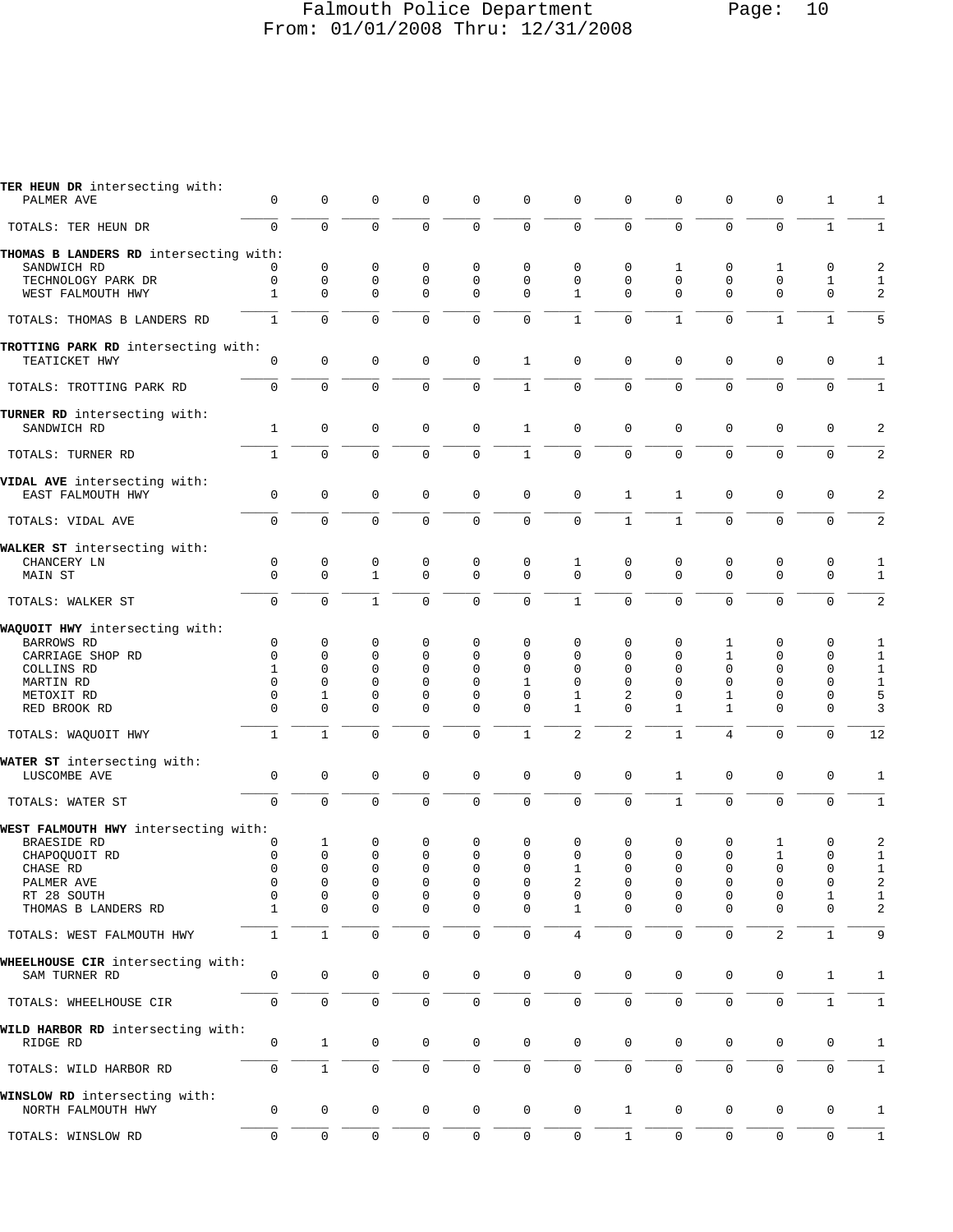# Falmouth Police Department Page: 10 From: 01/01/2008 Thru: 12/31/2008

| TER HEUN DR intersecting with:<br>PALMER AVE         | 0            | 0            | 0                   | $\mathbf 0$         | 0            | 0            | 0                   | 0              | 0            | 0              | 0              | 1            | 1              |
|------------------------------------------------------|--------------|--------------|---------------------|---------------------|--------------|--------------|---------------------|----------------|--------------|----------------|----------------|--------------|----------------|
| TOTALS: TER HEUN DR                                  | $\Omega$     | $\mathbf 0$  | $\mathbf 0$         | $\mathbf{0}$        | $\mathbf 0$  | 0            | $\mathbf 0$         | $\mathbf 0$    | $\mathbf 0$  | 0              | 0              | $\mathbf{1}$ | $\mathbf{1}$   |
| THOMAS B LANDERS RD intersecting with:               |              |              |                     |                     |              |              |                     |                |              |                |                |              |                |
| SANDWICH RD                                          |              | 0            | 0                   | 0                   | 0            | 0            | 0                   | 0              | 1            | 0              | 1              | 0            | 2              |
| TECHNOLOGY PARK DR                                   | 0            | $\mathbf{0}$ | $\mathbf 0$         | $\mathbf 0$         | 0            | 0            | 0                   | 0              | $\Omega$     | 0              | 0              | $\mathbf{1}$ | $\mathbf{1}$   |
| WEST FALMOUTH HWY                                    | 1            | $\mathbf{0}$ | $\mathbf 0$         | $\mathbf{0}$        | $\mathbf{0}$ | 0            | $\mathbf{1}$        | $\mathbf 0$    | $\Omega$     | $\Omega$       | 0              | $\mathbf 0$  | 2              |
| TOTALS: THOMAS B LANDERS RD                          | $\mathbf{1}$ | $\mathbf 0$  | $\mathbf 0$         | $\mathbf 0$         | $\mathbf 0$  | 0            | $\mathbf{1}$        | 0              | $\mathbf{1}$ | $\Omega$       | $\mathbf{1}$   | $\mathbf{1}$ | 5              |
| TROTTING PARK RD intersecting with:<br>TEATICKET HWY | $\mathbf 0$  | 0            | $\mathbf 0$         | $\mathbf{0}$        | $\mathbf{0}$ | $\mathbf{1}$ | 0                   | $\mathsf 0$    | $\mathbf 0$  | 0              | 0              | $\mathbf 0$  | 1              |
| TOTALS: TROTTING PARK RD                             | $\mathbf 0$  | $\mathbf 0$  | $\mathbf 0$         | $\mathbf 0$         | 0            | $\mathbf{1}$ | $\mathbf 0$         | $\mathsf 0$    | $\mathbf 0$  | 0              | 0              | $\mathbf 0$  | $\mathbf{1}$   |
| TURNER RD intersecting with:<br>SANDWICH RD          | $\mathbf{1}$ | $\mathbf{0}$ | $\mathbf 0$         | $\mathbf{0}$        | $\mathbf{0}$ | $\mathbf{1}$ | 0                   | $\mathbf 0$    | $\mathbf 0$  | 0              | 0              | $\mathbf 0$  | $\overline{a}$ |
| TOTALS: TURNER RD                                    | $\mathbf{1}$ | $\Omega$     | $\Omega$            | $\Omega$            | $\Omega$     | $\mathbf{1}$ | $\mathbf 0$         | $\mathbf 0$    | $\Omega$     | $\Omega$       | $\Omega$       | $\Omega$     | 2              |
| VIDAL AVE intersecting with:                         |              |              |                     |                     |              |              |                     |                |              |                |                |              |                |
| EAST FALMOUTH HWY                                    | $\mathbf 0$  | $\mathsf 0$  | $\mathbf 0$         | $\mathbf{0}$        | $\mathbf{0}$ | 0            | 0                   | $\mathbf{1}$   | $\mathbf{1}$ | 0              | 0              | $\mathbf 0$  | 2              |
| TOTALS: VIDAL AVE                                    | $\Omega$     | $\mathbf 0$  | $\mathbf 0$         | $\mathbf{0}$        | $\mathbf 0$  | 0            | $\mathbf 0$         | $\mathbf{1}$   | $\mathbf{1}$ | $\Omega$       | $\mathbf 0$    | $\mathbf 0$  | 2              |
| WALKER ST intersecting with:                         |              |              |                     |                     |              |              |                     |                |              |                |                |              |                |
| CHANCERY LN                                          | 0            | $\mathsf 0$  | $\mathbf 0$         | $\mathbf 0$         | 0            | 0            | $\mathbf{1}$        | $\mathsf 0$    | 0            | 0              | 0              | $\mathbf 0$  | $\mathbf{1}$   |
| MAIN ST                                              | $\Omega$     | $\Omega$     | $\mathbf{1}$        | $\Omega$            | $\Omega$     | $\mathbf 0$  | $\mathbf 0$         | $\mathbf 0$    | $\Omega$     | $\Omega$       | $\Omega$       | $\mathbf 0$  | $\mathbf{1}$   |
| TOTALS: WALKER ST                                    | $\mathbf 0$  | $\Omega$     | $\mathbf{1}$        | $\Omega$            | $\Omega$     | 0            | $\mathbf{1}$        | $\mathbf 0$    | $\Omega$     | $\Omega$       | $\Omega$       | $\mathbf 0$  | $\overline{a}$ |
| WAQUOIT HWY intersecting with:                       |              |              |                     |                     |              |              |                     |                |              |                |                |              |                |
| <b>BARROWS RD</b>                                    | 0            | $\mathbf 0$  | 0                   | $\mathbf 0$         | 0            | 0            | 0                   | 0              | 0            | 1              | 0              | 0            | 1              |
| CARRIAGE SHOP RD                                     | $\mathbf 0$  | $\mathbf{0}$ | 0                   | $\mathbf 0$         | 0            | 0            | 0                   | 0              | 0            | $\mathbf{1}$   | 0              | $\mathbf 0$  | $\mathbf{1}$   |
| COLLINS RD                                           | 1            | $\mathbf{0}$ | $\Omega$            | $\Omega$            | $\Omega$     | 0            | 0                   | 0              | 0            | 0              | 0              | 0            | $\mathbf 1$    |
| MARTIN RD                                            | $\Omega$     | $\Omega$     | $\Omega$            | $\Omega$            | $\Omega$     | $\mathbf{1}$ | $\Omega$            | 0              | $\Omega$     | $\Omega$       | 0              | $\mathbf 0$  | $\mathbf{1}$   |
| METOXIT RD                                           | $\mathbf 0$  | $\mathbf 1$  | 0                   | 0                   | 0            | 0            | 1                   | 2              | 0            | 1              | 0              | 0            | $\mathsf S$    |
| RED BROOK RD                                         | $\Omega$     | $\Omega$     | $\Omega$            | $\Omega$            | $\Omega$     | $\Omega$     | $\mathbf{1}$        | $\Omega$       | $\mathbf{1}$ | 1              | $\Omega$       | $\Omega$     | 3              |
| TOTALS: WAQUOIT HWY                                  | $\mathbf{1}$ | $\mathbf{1}$ | $\mathbf 0$         | $\mathbf{0}$        | 0            | $\mathbf{1}$ | $\overline{c}$      | $\overline{2}$ | $\mathbf{1}$ | 4              | 0              | $\mathbf 0$  | 12             |
|                                                      |              |              |                     |                     |              |              |                     |                |              |                |                |              |                |
| WATER ST intersecting with:<br>LUSCOMBE AVE          | $\mathbf 0$  | $\mathsf 0$  | $\mathsf 0$         | $\mathbf 0$         | $\mathbf{0}$ | 0            | 0                   | $\mathsf 0$    | $\mathbf{1}$ | 0              | 0              | $\mathsf 0$  | 1              |
| TOTALS: WATER ST                                     | $\mathbf 0$  | $\mathbf 0$  | $\mathbf 0$         | $\overline{0}$      | 0            | 0            | 0                   | $\mathbf 0$    | $\mathbf{1}$ | $\overline{0}$ | $\mathbf 0$    | $\mathbf 0$  | $1\,$          |
| WEST FALMOUTH HWY intersecting with:                 |              |              |                     |                     |              |              |                     |                |              |                |                |              |                |
| BRAESIDE RD                                          | 0            | 1            | 0                   | 0                   | 0            | 0            | 0                   | 0              | 0            | 0              | 1              | 0            | 2              |
| CHAPOQUOIT RD                                        | 0            | $\mathbf{0}$ | 0                   | $\mathsf 0$         | $\mathbf 0$  | 0            | 0                   | 0              | $\Omega$     | 0              | 1              | 0            | $\mathbf{1}$   |
| CHASE RD                                             | 0            | $\mathbf 0$  | $\Omega$            | $\mathbf 0$         | 0            | 0            | $\mathbf{1}$        | 0              | 0            | 0              | 0              | $\mathbf 0$  | $1\,$          |
| PALMER AVE                                           | 0            |              | 0                   | 0                   | 0            | 0            | 2                   | 0              |              | 0              |                | 0            | 2              |
| RT 28 SOUTH                                          | 0            | 0            | 0                   | 0                   | 0            | 0            | 0                   | 0              | 0            | 0              | 0              | 1            | 1              |
| THOMAS B LANDERS RD                                  | 1            | $\mathbf{0}$ | 0                   | 0                   | 0            | 0            | $\mathbf{1}$        | $\mathbf 0$    | 0            | 0              | 0              | 0            | 2              |
| TOTALS: WEST FALMOUTH HWY                            | $\mathbf{1}$ | $1\,$        | $\mathsf{O}\xspace$ | $\mathbf 0$         | 0            | 0            | 4                   | $\mathsf 0$    | 0            | 0              | $\overline{c}$ | $\mathbf{1}$ | 9              |
| WHEELHOUSE CIR intersecting with:<br>SAM TURNER RD   | 0            | $\mathsf 0$  | 0                   | 0                   | 0            | 0            | $\mathbf 0$         | $\mathbf 0$    | 0            | 0              | 0              | $\mathbf 1$  | 1              |
| TOTALS: WHEELHOUSE CIR                               | 0            | $\mathsf 0$  | 0                   | $\mathbf 0$         | 0            | 0            | $\mathsf{O}\xspace$ | $\mathsf 0$    | 0            | 0              | 0              | $\mathbf{1}$ | $\mathbf{1}$   |
| WILD HARBOR RD intersecting with:<br>RIDGE RD        | 0            | 1            | 0                   | 0                   | 0            | 0            | 0                   | 0              | 0            | 0              | 0              | 0            | 1              |
| TOTALS: WILD HARBOR RD                               | $\mathbf 0$  | $\mathbf{1}$ | $\mathbf 0$         | $\mathsf{O}\xspace$ | $\mathbf{0}$ | 0            | $\mathsf{O}\xspace$ | $\mathbf 0$    | $\mathbf 0$  | 0              | 0              | $\mathsf 0$  | $\mathbf{1}$   |
|                                                      |              |              |                     |                     |              |              |                     |                |              |                |                |              |                |
| WINSLOW RD intersecting with:<br>NORTH FALMOUTH HWY  | 0            | 0            | 0                   | 0                   | 0            | 0            | $\mathsf{O}\xspace$ | $\mathbf{1}$   | 0            | 0              | 0              | 0            | 1              |
| TOTALS: WINSLOW RD                                   | 0            | 0            | $\mathbf 0$         | $\mathbf 0$         | $\mathbf 0$  | 0            | $\mathsf{O}\xspace$ | $\mathbf{1}$   | 0            | 0              | 0              | $\mathbf 0$  | $\mathbf{1}$   |
|                                                      |              |              |                     |                     |              |              |                     |                |              |                |                |              |                |